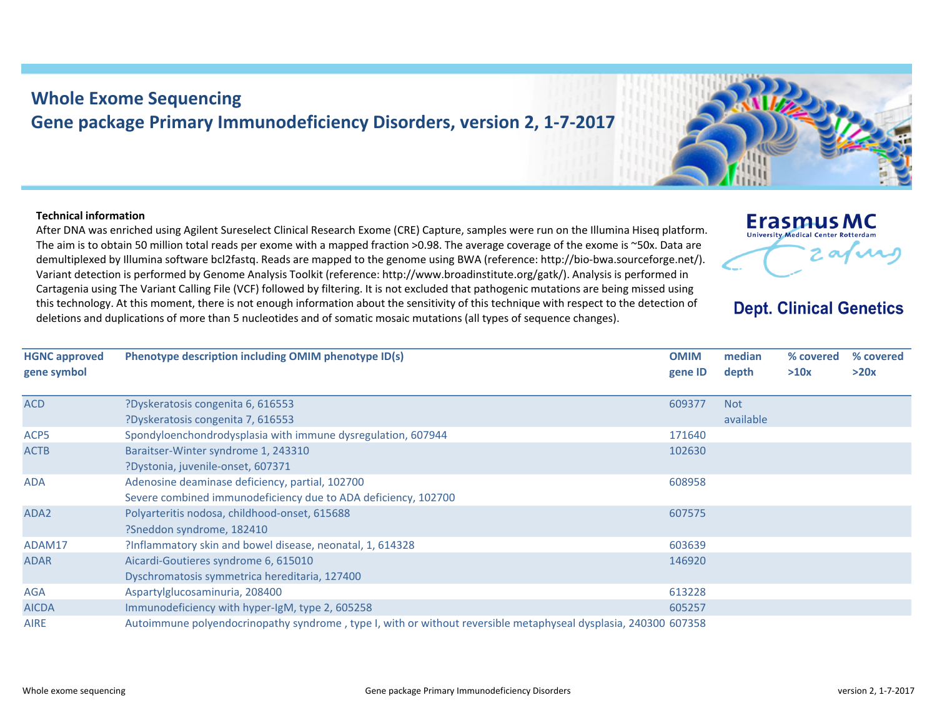## **Whole Exome Sequencing Gene package Primary Immunodeficiency Disorders, version 2, 1‐7‐2017**

## **Technical information**

After DNA was enriched using Agilent Sureselect Clinical Research Exome (CRE) Capture, samples were run on the Illumina Hiseq platform. The aim is to obtain 50 million total reads per exome with <sup>a</sup> mapped fraction >0.98. The average coverage of the exome is ~50x. Data are demultiplexed by Illumina software bcl2fastq. Reads are mapped to the genome using BWA (reference: http://bio‐bwa.sourceforge.net/). Variant detection is performed by Genome Analysis Toolkit (reference: http://www.broadinstitute.org/gatk/). Analysis is performed in Cartagenia using The Variant Calling File (VCF) followed by filtering. It is not excluded that pathogenic mutations are being missed using this technology. At this moment, there is not enough information about the sensitivity of this technique with respect to the detection of deletions and duplications of more than 5 nucleotides and of somatic mosaic mutations (all types of sequence changes).

**Phenotype description including OMIM phenotype ID(s) OMIM**

| <b>HGNC approved</b><br>gene symbol | Phenotype description including OMIM phenotype ID(s)                                                            | <b>OMIM</b><br>gene ID | median<br>depth | % covered<br>>10x | % covered<br>>20x |
|-------------------------------------|-----------------------------------------------------------------------------------------------------------------|------------------------|-----------------|-------------------|-------------------|
| <b>ACD</b>                          | ?Dyskeratosis congenita 6, 616553                                                                               | 609377                 | <b>Not</b>      |                   |                   |
|                                     | ?Dyskeratosis congenita 7, 616553                                                                               |                        | available       |                   |                   |
| ACP5                                | Spondyloenchondrodysplasia with immune dysregulation, 607944                                                    | 171640                 |                 |                   |                   |
| <b>ACTB</b>                         | Baraitser-Winter syndrome 1, 243310                                                                             | 102630                 |                 |                   |                   |
|                                     | ?Dystonia, juvenile-onset, 607371                                                                               |                        |                 |                   |                   |
| <b>ADA</b>                          | Adenosine deaminase deficiency, partial, 102700                                                                 | 608958                 |                 |                   |                   |
|                                     | Severe combined immunodeficiency due to ADA deficiency, 102700                                                  |                        |                 |                   |                   |
| ADA <sub>2</sub>                    | Polyarteritis nodosa, childhood-onset, 615688                                                                   | 607575                 |                 |                   |                   |
|                                     | ?Sneddon syndrome, 182410                                                                                       |                        |                 |                   |                   |
| ADAM17                              | ?Inflammatory skin and bowel disease, neonatal, 1, 614328                                                       | 603639                 |                 |                   |                   |
| <b>ADAR</b>                         | Aicardi-Goutieres syndrome 6, 615010                                                                            | 146920                 |                 |                   |                   |
|                                     | Dyschromatosis symmetrica hereditaria, 127400                                                                   |                        |                 |                   |                   |
| <b>AGA</b>                          | Aspartylglucosaminuria, 208400                                                                                  | 613228                 |                 |                   |                   |
| <b>AICDA</b>                        | Immunodeficiency with hyper-IgM, type 2, 605258                                                                 | 605257                 |                 |                   |                   |
| <b>AIRE</b>                         | Autoimmune polyendocrinopathy syndrome, type I, with or without reversible metaphyseal dysplasia, 240300 607358 |                        |                 |                   |                   |

**median**

**Erasmus MC University Medical Center Rotterdam** 

**Dept. Clinical Genetics**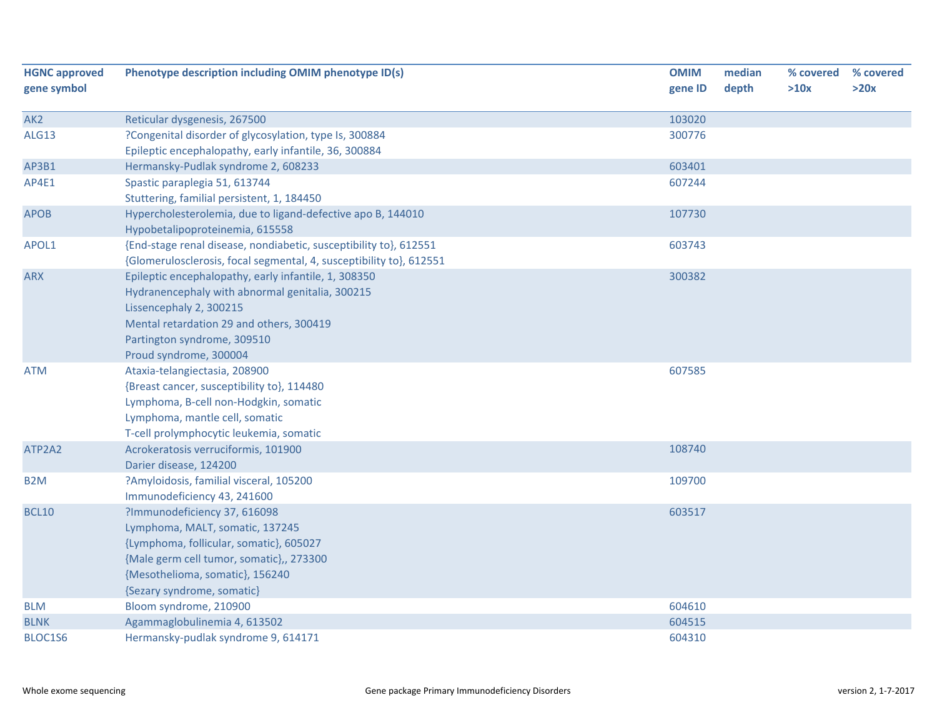| <b>HGNC approved</b> | Phenotype description including OMIM phenotype ID(s)                | <b>OMIM</b> | median | % covered | % covered |
|----------------------|---------------------------------------------------------------------|-------------|--------|-----------|-----------|
| gene symbol          |                                                                     | gene ID     | depth  | >10x      | >20x      |
| AK <sub>2</sub>      | Reticular dysgenesis, 267500                                        | 103020      |        |           |           |
| ALG13                | ?Congenital disorder of glycosylation, type Is, 300884              | 300776      |        |           |           |
|                      | Epileptic encephalopathy, early infantile, 36, 300884               |             |        |           |           |
| AP3B1                | Hermansky-Pudlak syndrome 2, 608233                                 | 603401      |        |           |           |
| AP4E1                | Spastic paraplegia 51, 613744                                       | 607244      |        |           |           |
|                      | Stuttering, familial persistent, 1, 184450                          |             |        |           |           |
| <b>APOB</b>          | Hypercholesterolemia, due to ligand-defective apo B, 144010         | 107730      |        |           |           |
|                      | Hypobetalipoproteinemia, 615558                                     |             |        |           |           |
| APOL1                | {End-stage renal disease, nondiabetic, susceptibility to}, 612551   | 603743      |        |           |           |
|                      | {Glomerulosclerosis, focal segmental, 4, susceptibility to}, 612551 |             |        |           |           |
| <b>ARX</b>           | Epileptic encephalopathy, early infantile, 1, 308350                | 300382      |        |           |           |
|                      | Hydranencephaly with abnormal genitalia, 300215                     |             |        |           |           |
|                      | Lissencephaly 2, 300215                                             |             |        |           |           |
|                      | Mental retardation 29 and others, 300419                            |             |        |           |           |
|                      | Partington syndrome, 309510                                         |             |        |           |           |
|                      | Proud syndrome, 300004                                              |             |        |           |           |
| <b>ATM</b>           | Ataxia-telangiectasia, 208900                                       | 607585      |        |           |           |
|                      | {Breast cancer, susceptibility to}, 114480                          |             |        |           |           |
|                      | Lymphoma, B-cell non-Hodgkin, somatic                               |             |        |           |           |
|                      | Lymphoma, mantle cell, somatic                                      |             |        |           |           |
|                      | T-cell prolymphocytic leukemia, somatic                             |             |        |           |           |
| ATP2A2               | Acrokeratosis verruciformis, 101900<br>Darier disease, 124200       | 108740      |        |           |           |
| B <sub>2</sub> M     | ?Amyloidosis, familial visceral, 105200                             | 109700      |        |           |           |
|                      | Immunodeficiency 43, 241600                                         |             |        |           |           |
| <b>BCL10</b>         | ?Immunodeficiency 37, 616098                                        | 603517      |        |           |           |
|                      | Lymphoma, MALT, somatic, 137245                                     |             |        |           |           |
|                      | {Lymphoma, follicular, somatic}, 605027                             |             |        |           |           |
|                      | {Male germ cell tumor, somatic},, 273300                            |             |        |           |           |
|                      | {Mesothelioma, somatic}, 156240                                     |             |        |           |           |
|                      | {Sezary syndrome, somatic}                                          |             |        |           |           |
| <b>BLM</b>           | Bloom syndrome, 210900                                              | 604610      |        |           |           |
| <b>BLNK</b>          | Agammaglobulinemia 4, 613502                                        | 604515      |        |           |           |
| BLOC1S6              | Hermansky-pudlak syndrome 9, 614171                                 | 604310      |        |           |           |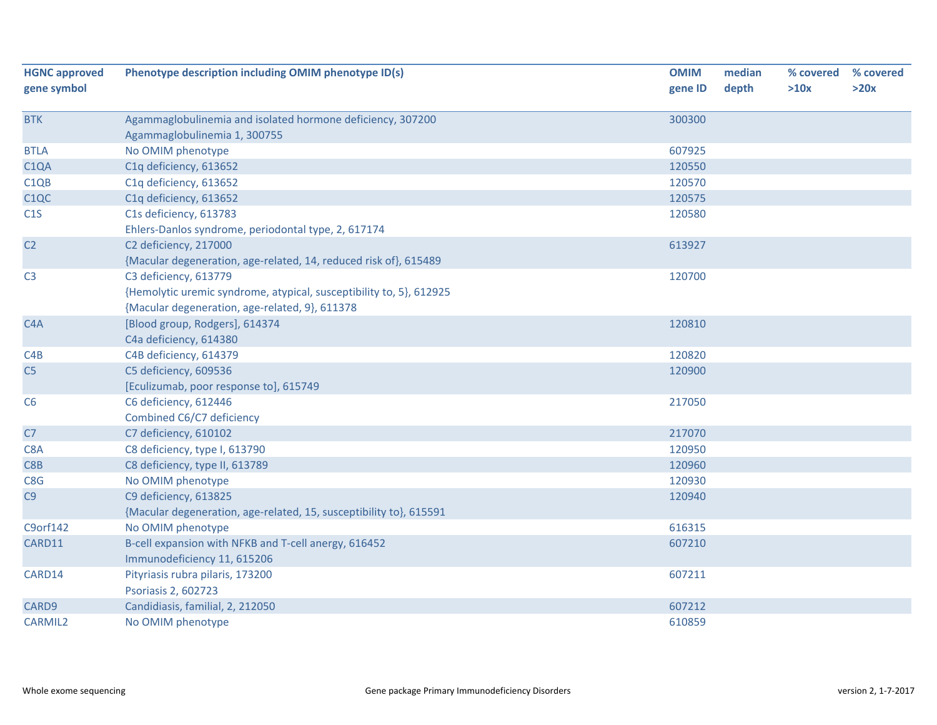| <b>HGNC approved</b><br>gene symbol | Phenotype description including OMIM phenotype ID(s)                | <b>OMIM</b><br>gene ID | median<br>depth | % covered<br>>10x | % covered<br>>20x |
|-------------------------------------|---------------------------------------------------------------------|------------------------|-----------------|-------------------|-------------------|
| <b>BTK</b>                          | Agammaglobulinemia and isolated hormone deficiency, 307200          | 300300                 |                 |                   |                   |
|                                     | Agammaglobulinemia 1, 300755                                        |                        |                 |                   |                   |
| <b>BTLA</b>                         | No OMIM phenotype                                                   | 607925                 |                 |                   |                   |
| C <sub>1</sub> QA                   | C1q deficiency, 613652                                              | 120550                 |                 |                   |                   |
| C <sub>1QB</sub>                    | C1q deficiency, 613652                                              | 120570                 |                 |                   |                   |
| C <sub>1</sub> QC                   | C1q deficiency, 613652                                              | 120575                 |                 |                   |                   |
| C1S                                 | C1s deficiency, 613783                                              | 120580                 |                 |                   |                   |
|                                     | Ehlers-Danlos syndrome, periodontal type, 2, 617174                 |                        |                 |                   |                   |
| C <sub>2</sub>                      | C2 deficiency, 217000                                               | 613927                 |                 |                   |                   |
|                                     | {Macular degeneration, age-related, 14, reduced risk of}, 615489    |                        |                 |                   |                   |
| C <sub>3</sub>                      | C3 deficiency, 613779                                               | 120700                 |                 |                   |                   |
|                                     | {Hemolytic uremic syndrome, atypical, susceptibility to, 5}, 612925 |                        |                 |                   |                   |
|                                     | {Macular degeneration, age-related, 9}, 611378                      |                        |                 |                   |                   |
| C <sub>4</sub> A                    | [Blood group, Rodgers], 614374                                      | 120810                 |                 |                   |                   |
|                                     | C4a deficiency, 614380                                              |                        |                 |                   |                   |
| C4B                                 | C4B deficiency, 614379                                              | 120820                 |                 |                   |                   |
| C <sub>5</sub>                      | C5 deficiency, 609536                                               | 120900                 |                 |                   |                   |
|                                     | [Eculizumab, poor response to], 615749                              |                        |                 |                   |                   |
| C6                                  | C6 deficiency, 612446                                               | 217050                 |                 |                   |                   |
|                                     | Combined C6/C7 deficiency                                           |                        |                 |                   |                   |
| C7                                  | C7 deficiency, 610102                                               | 217070                 |                 |                   |                   |
| C8A                                 | C8 deficiency, type I, 613790                                       | 120950                 |                 |                   |                   |
| C8B                                 | C8 deficiency, type II, 613789                                      | 120960                 |                 |                   |                   |
| C8G                                 | No OMIM phenotype                                                   | 120930                 |                 |                   |                   |
| C9                                  | C9 deficiency, 613825                                               | 120940                 |                 |                   |                   |
|                                     | {Macular degeneration, age-related, 15, susceptibility to}, 615591  |                        |                 |                   |                   |
| C9orf142                            | No OMIM phenotype                                                   | 616315                 |                 |                   |                   |
| CARD11                              | B-cell expansion with NFKB and T-cell anergy, 616452                | 607210                 |                 |                   |                   |
|                                     | Immunodeficiency 11, 615206                                         |                        |                 |                   |                   |
| CARD14                              | Pityriasis rubra pilaris, 173200                                    | 607211                 |                 |                   |                   |
|                                     | Psoriasis 2, 602723                                                 |                        |                 |                   |                   |
| CARD9                               | Candidiasis, familial, 2, 212050                                    | 607212                 |                 |                   |                   |
| <b>CARMIL2</b>                      | No OMIM phenotype                                                   | 610859                 |                 |                   |                   |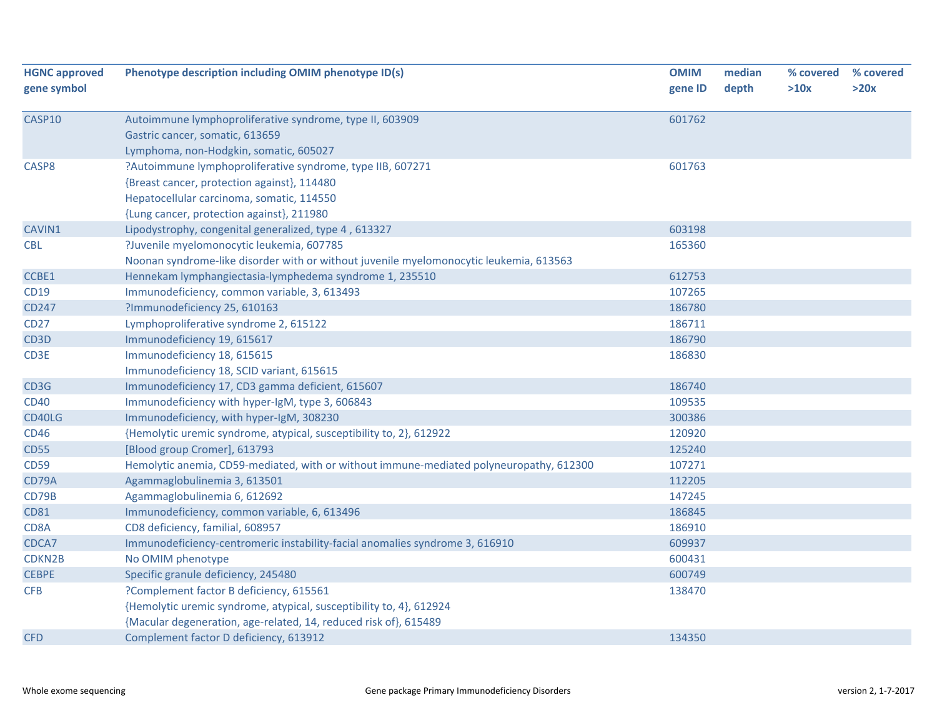| <b>HGNC approved</b> | Phenotype description including OMIM phenotype ID(s)                                    | <b>OMIM</b> | median | % covered | % covered |
|----------------------|-----------------------------------------------------------------------------------------|-------------|--------|-----------|-----------|
| gene symbol          |                                                                                         | gene ID     | depth  | >10x      | >20x      |
| CASP10               | Autoimmune lymphoproliferative syndrome, type II, 603909                                | 601762      |        |           |           |
|                      | Gastric cancer, somatic, 613659                                                         |             |        |           |           |
|                      | Lymphoma, non-Hodgkin, somatic, 605027                                                  |             |        |           |           |
| CASP8                | ?Autoimmune lymphoproliferative syndrome, type IIB, 607271                              | 601763      |        |           |           |
|                      | {Breast cancer, protection against}, 114480                                             |             |        |           |           |
|                      | Hepatocellular carcinoma, somatic, 114550                                               |             |        |           |           |
|                      | {Lung cancer, protection against}, 211980                                               |             |        |           |           |
| CAVIN1               | Lipodystrophy, congenital generalized, type 4, 613327                                   | 603198      |        |           |           |
| <b>CBL</b>           | ?Juvenile myelomonocytic leukemia, 607785                                               | 165360      |        |           |           |
|                      | Noonan syndrome-like disorder with or without juvenile myelomonocytic leukemia, 613563  |             |        |           |           |
| CCBE1                | Hennekam lymphangiectasia-lymphedema syndrome 1, 235510                                 | 612753      |        |           |           |
| <b>CD19</b>          | Immunodeficiency, common variable, 3, 613493                                            | 107265      |        |           |           |
| <b>CD247</b>         | ?Immunodeficiency 25, 610163                                                            | 186780      |        |           |           |
| <b>CD27</b>          | Lymphoproliferative syndrome 2, 615122                                                  | 186711      |        |           |           |
| CD <sub>3</sub> D    | Immunodeficiency 19, 615617                                                             | 186790      |        |           |           |
| CD3E                 | Immunodeficiency 18, 615615                                                             | 186830      |        |           |           |
|                      | Immunodeficiency 18, SCID variant, 615615                                               |             |        |           |           |
| CD3G                 | Immunodeficiency 17, CD3 gamma deficient, 615607                                        | 186740      |        |           |           |
| <b>CD40</b>          | Immunodeficiency with hyper-IgM, type 3, 606843                                         | 109535      |        |           |           |
| CD40LG               | Immunodeficiency, with hyper-IgM, 308230                                                | 300386      |        |           |           |
| <b>CD46</b>          | {Hemolytic uremic syndrome, atypical, susceptibility to, 2}, 612922                     | 120920      |        |           |           |
| <b>CD55</b>          | [Blood group Cromer], 613793                                                            | 125240      |        |           |           |
| <b>CD59</b>          | Hemolytic anemia, CD59-mediated, with or without immune-mediated polyneuropathy, 612300 | 107271      |        |           |           |
| CD79A                | Agammaglobulinemia 3, 613501                                                            | 112205      |        |           |           |
| CD79B                | Agammaglobulinemia 6, 612692                                                            | 147245      |        |           |           |
| <b>CD81</b>          | Immunodeficiency, common variable, 6, 613496                                            | 186845      |        |           |           |
| CD8A                 | CD8 deficiency, familial, 608957                                                        | 186910      |        |           |           |
| CDCA7                | Immunodeficiency-centromeric instability-facial anomalies syndrome 3, 616910            | 609937      |        |           |           |
| CDKN2B               | No OMIM phenotype                                                                       | 600431      |        |           |           |
| <b>CEBPE</b>         | Specific granule deficiency, 245480                                                     | 600749      |        |           |           |
| <b>CFB</b>           | ?Complement factor B deficiency, 615561                                                 | 138470      |        |           |           |
|                      | {Hemolytic uremic syndrome, atypical, susceptibility to, 4}, 612924                     |             |        |           |           |
|                      | {Macular degeneration, age-related, 14, reduced risk of}, 615489                        |             |        |           |           |
| <b>CFD</b>           | Complement factor D deficiency, 613912                                                  | 134350      |        |           |           |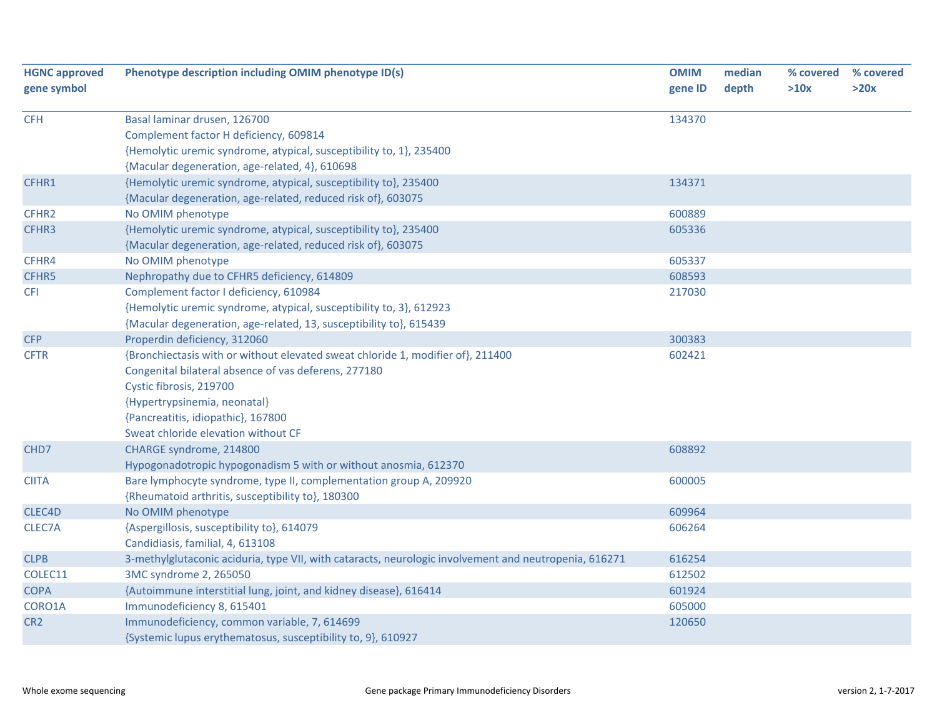| <b>HGNC approved</b> | Phenotype description including OMIM phenotype ID(s)                                                  | <b>OMIM</b> | median | % covered | % covered |
|----------------------|-------------------------------------------------------------------------------------------------------|-------------|--------|-----------|-----------|
| gene symbol          |                                                                                                       | gene ID     | depth  | >10x      | >20x      |
| <b>CFH</b>           | Basal laminar drusen, 126700                                                                          | 134370      |        |           |           |
|                      | Complement factor H deficiency, 609814                                                                |             |        |           |           |
|                      | {Hemolytic uremic syndrome, atypical, susceptibility to, 1}, 235400                                   |             |        |           |           |
|                      | {Macular degeneration, age-related, 4}, 610698                                                        |             |        |           |           |
| CFHR1                | {Hemolytic uremic syndrome, atypical, susceptibility to}, 235400                                      | 134371      |        |           |           |
|                      | {Macular degeneration, age-related, reduced risk of}, 603075                                          |             |        |           |           |
| CFHR2                | No OMIM phenotype                                                                                     | 600889      |        |           |           |
| CFHR3                | {Hemolytic uremic syndrome, atypical, susceptibility to}, 235400                                      | 605336      |        |           |           |
|                      | {Macular degeneration, age-related, reduced risk of}, 603075                                          |             |        |           |           |
| CFHR4                | No OMIM phenotype                                                                                     | 605337      |        |           |           |
| CFHR5                | Nephropathy due to CFHR5 deficiency, 614809                                                           | 608593      |        |           |           |
| <b>CFI</b>           | Complement factor I deficiency, 610984                                                                | 217030      |        |           |           |
|                      | {Hemolytic uremic syndrome, atypical, susceptibility to, 3}, 612923                                   |             |        |           |           |
|                      | {Macular degeneration, age-related, 13, susceptibility to}, 615439                                    |             |        |           |           |
| <b>CFP</b>           | Properdin deficiency, 312060                                                                          | 300383      |        |           |           |
| <b>CFTR</b>          | {Bronchiectasis with or without elevated sweat chloride 1, modifier of}, 211400                       | 602421      |        |           |           |
|                      | Congenital bilateral absence of vas deferens, 277180                                                  |             |        |           |           |
|                      | Cystic fibrosis, 219700                                                                               |             |        |           |           |
|                      | {Hypertrypsinemia, neonatal}                                                                          |             |        |           |           |
|                      | {Pancreatitis, idiopathic}, 167800                                                                    |             |        |           |           |
|                      | Sweat chloride elevation without CF                                                                   |             |        |           |           |
| CHD7                 | CHARGE syndrome, 214800                                                                               | 608892      |        |           |           |
|                      | Hypogonadotropic hypogonadism 5 with or without anosmia, 612370                                       |             |        |           |           |
| <b>CIITA</b>         | Bare lymphocyte syndrome, type II, complementation group A, 209920                                    | 600005      |        |           |           |
|                      | {Rheumatoid arthritis, susceptibility to}, 180300                                                     |             |        |           |           |
| CLEC4D               | No OMIM phenotype                                                                                     | 609964      |        |           |           |
| <b>CLEC7A</b>        | {Aspergillosis, susceptibility to}, 614079                                                            | 606264      |        |           |           |
|                      | Candidiasis, familial, 4, 613108                                                                      |             |        |           |           |
| <b>CLPB</b>          | 3-methylglutaconic aciduria, type VII, with cataracts, neurologic involvement and neutropenia, 616271 | 616254      |        |           |           |
| COLEC11              | 3MC syndrome 2, 265050                                                                                | 612502      |        |           |           |
| <b>COPA</b>          | {Autoimmune interstitial lung, joint, and kidney disease}, 616414                                     | 601924      |        |           |           |
| CORO1A               | Immunodeficiency 8, 615401                                                                            | 605000      |        |           |           |
| CR <sub>2</sub>      | Immunodeficiency, common variable, 7, 614699                                                          | 120650      |        |           |           |
|                      | {Systemic lupus erythematosus, susceptibility to, 9}, 610927                                          |             |        |           |           |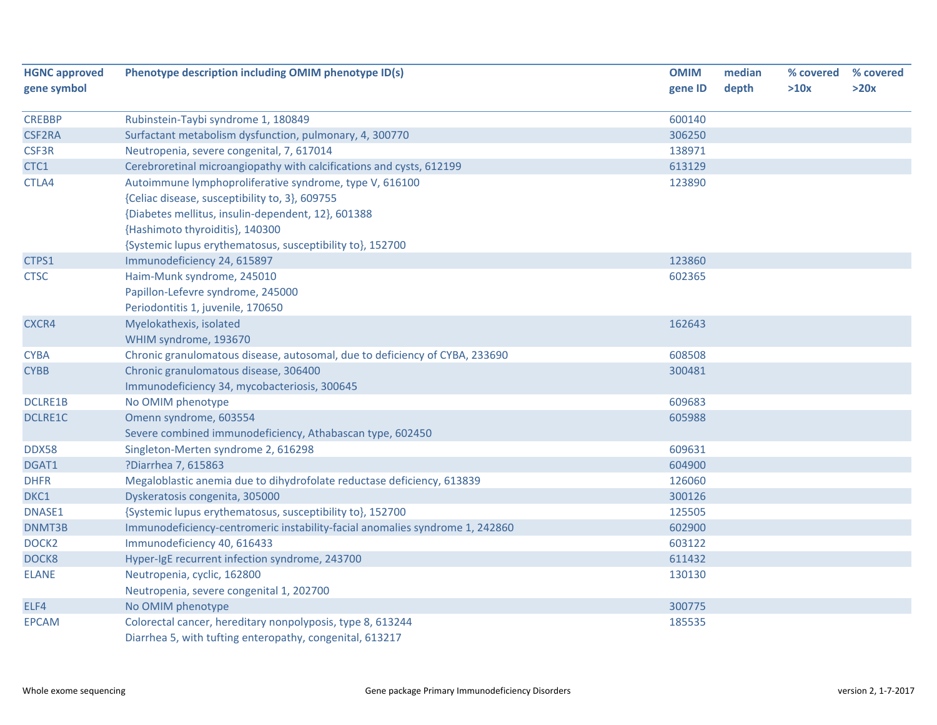| <b>HGNC approved</b><br>gene symbol | Phenotype description including OMIM phenotype ID(s)                                                                   | <b>OMIM</b><br>gene ID | median<br>depth | % covered<br>>10x | % covered<br>>20x |
|-------------------------------------|------------------------------------------------------------------------------------------------------------------------|------------------------|-----------------|-------------------|-------------------|
|                                     |                                                                                                                        |                        |                 |                   |                   |
| <b>CREBBP</b>                       | Rubinstein-Taybi syndrome 1, 180849                                                                                    | 600140                 |                 |                   |                   |
| <b>CSF2RA</b>                       | Surfactant metabolism dysfunction, pulmonary, 4, 300770                                                                | 306250                 |                 |                   |                   |
| CSF3R                               | Neutropenia, severe congenital, 7, 617014                                                                              | 138971                 |                 |                   |                   |
| CTC1                                | Cerebroretinal microangiopathy with calcifications and cysts, 612199                                                   | 613129                 |                 |                   |                   |
| CTLA4                               | Autoimmune lymphoproliferative syndrome, type V, 616100                                                                | 123890                 |                 |                   |                   |
|                                     | {Celiac disease, susceptibility to, 3}, 609755                                                                         |                        |                 |                   |                   |
|                                     | {Diabetes mellitus, insulin-dependent, 12}, 601388                                                                     |                        |                 |                   |                   |
|                                     | {Hashimoto thyroiditis}, 140300                                                                                        |                        |                 |                   |                   |
|                                     | {Systemic lupus erythematosus, susceptibility to}, 152700                                                              |                        |                 |                   |                   |
| CTPS1                               | Immunodeficiency 24, 615897                                                                                            | 123860                 |                 |                   |                   |
| <b>CTSC</b>                         | Haim-Munk syndrome, 245010                                                                                             | 602365                 |                 |                   |                   |
|                                     | Papillon-Lefevre syndrome, 245000                                                                                      |                        |                 |                   |                   |
|                                     | Periodontitis 1, juvenile, 170650                                                                                      |                        |                 |                   |                   |
| CXCR4                               | Myelokathexis, isolated                                                                                                | 162643                 |                 |                   |                   |
|                                     | WHIM syndrome, 193670                                                                                                  |                        |                 |                   |                   |
| <b>CYBA</b>                         | Chronic granulomatous disease, autosomal, due to deficiency of CYBA, 233690                                            | 608508                 |                 |                   |                   |
| <b>CYBB</b>                         | Chronic granulomatous disease, 306400                                                                                  | 300481                 |                 |                   |                   |
|                                     | Immunodeficiency 34, mycobacteriosis, 300645                                                                           |                        |                 |                   |                   |
| <b>DCLRE1B</b>                      | No OMIM phenotype                                                                                                      | 609683                 |                 |                   |                   |
| <b>DCLRE1C</b>                      | Omenn syndrome, 603554                                                                                                 | 605988                 |                 |                   |                   |
|                                     | Severe combined immunodeficiency, Athabascan type, 602450                                                              |                        |                 |                   |                   |
| <b>DDX58</b>                        | Singleton-Merten syndrome 2, 616298                                                                                    | 609631                 |                 |                   |                   |
| DGAT1                               | ?Diarrhea 7, 615863                                                                                                    | 604900                 |                 |                   |                   |
| <b>DHFR</b>                         | Megaloblastic anemia due to dihydrofolate reductase deficiency, 613839                                                 | 126060                 |                 |                   |                   |
| DKC1                                | Dyskeratosis congenita, 305000                                                                                         | 300126                 |                 |                   |                   |
| DNASE1                              | {Systemic lupus erythematosus, susceptibility to}, 152700                                                              | 125505                 |                 |                   |                   |
| DNMT3B                              | Immunodeficiency-centromeric instability-facial anomalies syndrome 1, 242860                                           | 602900                 |                 |                   |                   |
| DOCK <sub>2</sub>                   | Immunodeficiency 40, 616433                                                                                            | 603122                 |                 |                   |                   |
| DOCK8                               | Hyper-IgE recurrent infection syndrome, 243700                                                                         | 611432                 |                 |                   |                   |
| <b>ELANE</b>                        | Neutropenia, cyclic, 162800                                                                                            | 130130                 |                 |                   |                   |
|                                     | Neutropenia, severe congenital 1, 202700                                                                               |                        |                 |                   |                   |
| ELF4                                | No OMIM phenotype                                                                                                      | 300775                 |                 |                   |                   |
| <b>EPCAM</b>                        | Colorectal cancer, hereditary nonpolyposis, type 8, 613244<br>Diarrhea 5, with tufting enteropathy, congenital, 613217 | 185535                 |                 |                   |                   |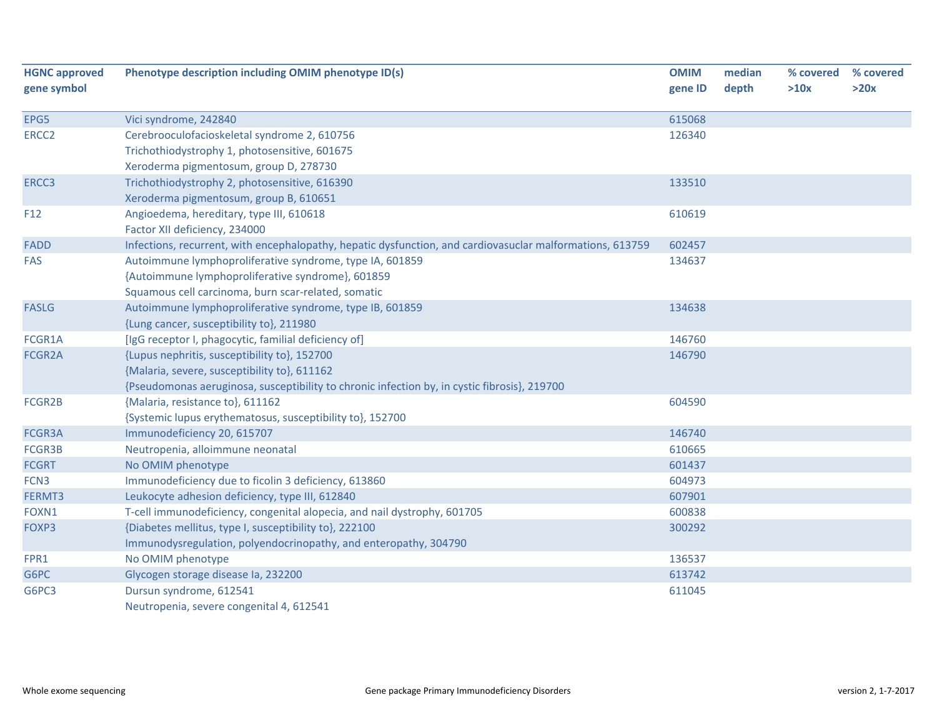| <b>HGNC approved</b><br>gene symbol | Phenotype description including OMIM phenotype ID(s)                                                      | <b>OMIM</b><br>gene ID | median<br>depth | % covered<br>>10x | % covered<br>>20x |
|-------------------------------------|-----------------------------------------------------------------------------------------------------------|------------------------|-----------------|-------------------|-------------------|
| EPG5                                | Vici syndrome, 242840                                                                                     | 615068                 |                 |                   |                   |
| ERCC <sub>2</sub>                   | Cerebrooculofacioskeletal syndrome 2, 610756                                                              | 126340                 |                 |                   |                   |
|                                     | Trichothiodystrophy 1, photosensitive, 601675                                                             |                        |                 |                   |                   |
|                                     | Xeroderma pigmentosum, group D, 278730                                                                    |                        |                 |                   |                   |
| ERCC3                               | Trichothiodystrophy 2, photosensitive, 616390                                                             | 133510                 |                 |                   |                   |
|                                     | Xeroderma pigmentosum, group B, 610651                                                                    |                        |                 |                   |                   |
| F12                                 | Angioedema, hereditary, type III, 610618                                                                  | 610619                 |                 |                   |                   |
|                                     | Factor XII deficiency, 234000                                                                             |                        |                 |                   |                   |
| <b>FADD</b>                         | Infections, recurrent, with encephalopathy, hepatic dysfunction, and cardiovasuclar malformations, 613759 | 602457                 |                 |                   |                   |
| FAS                                 | Autoimmune lymphoproliferative syndrome, type IA, 601859                                                  | 134637                 |                 |                   |                   |
|                                     | {Autoimmune lymphoproliferative syndrome}, 601859                                                         |                        |                 |                   |                   |
|                                     | Squamous cell carcinoma, burn scar-related, somatic                                                       |                        |                 |                   |                   |
| <b>FASLG</b>                        | Autoimmune lymphoproliferative syndrome, type IB, 601859                                                  | 134638                 |                 |                   |                   |
|                                     | {Lung cancer, susceptibility to}, 211980                                                                  |                        |                 |                   |                   |
| FCGR1A                              | [IgG receptor I, phagocytic, familial deficiency of]                                                      | 146760                 |                 |                   |                   |
| FCGR2A                              | {Lupus nephritis, susceptibility to}, 152700                                                              | 146790                 |                 |                   |                   |
|                                     | {Malaria, severe, susceptibility to}, 611162                                                              |                        |                 |                   |                   |
|                                     | {Pseudomonas aeruginosa, susceptibility to chronic infection by, in cystic fibrosis}, 219700              |                        |                 |                   |                   |
| FCGR2B                              | {Malaria, resistance to}, 611162                                                                          | 604590                 |                 |                   |                   |
|                                     | {Systemic lupus erythematosus, susceptibility to}, 152700                                                 |                        |                 |                   |                   |
| FCGR3A                              | Immunodeficiency 20, 615707                                                                               | 146740                 |                 |                   |                   |
| FCGR3B                              | Neutropenia, alloimmune neonatal                                                                          | 610665                 |                 |                   |                   |
| <b>FCGRT</b>                        | No OMIM phenotype                                                                                         | 601437                 |                 |                   |                   |
| FCN <sub>3</sub>                    | Immunodeficiency due to ficolin 3 deficiency, 613860                                                      | 604973                 |                 |                   |                   |
| FERMT3                              | Leukocyte adhesion deficiency, type III, 612840                                                           | 607901                 |                 |                   |                   |
| FOXN1                               | T-cell immunodeficiency, congenital alopecia, and nail dystrophy, 601705                                  | 600838                 |                 |                   |                   |
| FOXP3                               | {Diabetes mellitus, type I, susceptibility to}, 222100                                                    | 300292                 |                 |                   |                   |
|                                     | Immunodysregulation, polyendocrinopathy, and enteropathy, 304790                                          |                        |                 |                   |                   |
| FPR1                                | No OMIM phenotype                                                                                         | 136537                 |                 |                   |                   |
| G6PC                                | Glycogen storage disease la, 232200                                                                       | 613742                 |                 |                   |                   |
| G6PC3                               | Dursun syndrome, 612541                                                                                   | 611045                 |                 |                   |                   |
|                                     | Neutropenia, severe congenital 4, 612541                                                                  |                        |                 |                   |                   |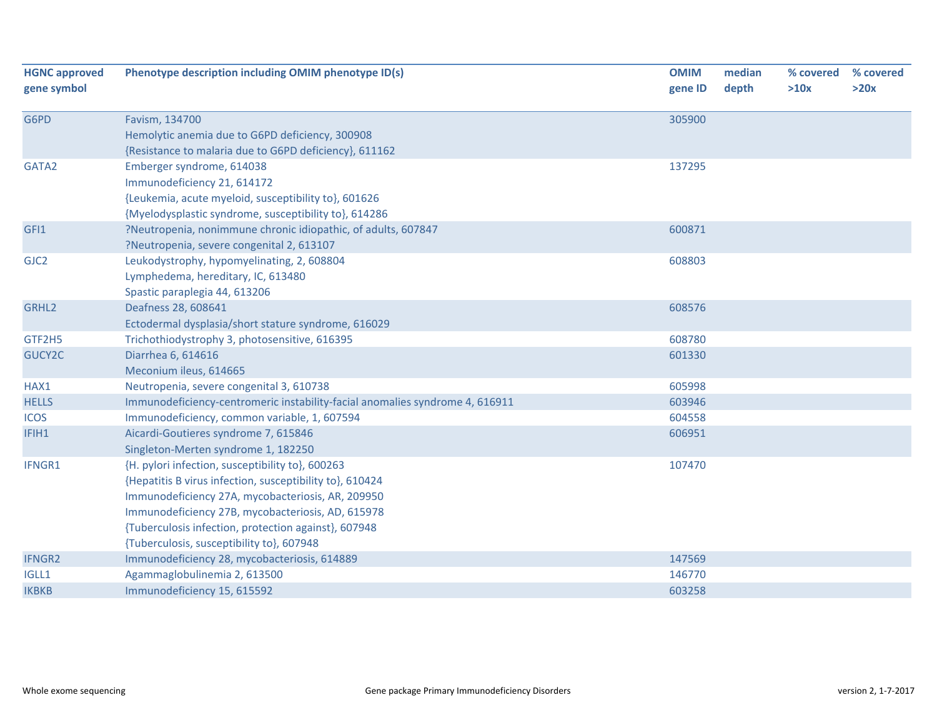| <b>HGNC approved</b><br>gene symbol | Phenotype description including OMIM phenotype ID(s)                                                                                                                                                                                                                                                                        | <b>OMIM</b><br>gene ID | median<br>depth | % covered<br>>10x | % covered<br>>20x |
|-------------------------------------|-----------------------------------------------------------------------------------------------------------------------------------------------------------------------------------------------------------------------------------------------------------------------------------------------------------------------------|------------------------|-----------------|-------------------|-------------------|
| G6PD                                | Favism, 134700<br>Hemolytic anemia due to G6PD deficiency, 300908<br>{Resistance to malaria due to G6PD deficiency}, 611162                                                                                                                                                                                                 | 305900                 |                 |                   |                   |
| GATA2                               | Emberger syndrome, 614038<br>Immunodeficiency 21, 614172<br>{Leukemia, acute myeloid, susceptibility to}, 601626<br>{Myelodysplastic syndrome, susceptibility to}, 614286                                                                                                                                                   | 137295                 |                 |                   |                   |
| GFI1                                | ?Neutropenia, nonimmune chronic idiopathic, of adults, 607847<br>?Neutropenia, severe congenital 2, 613107                                                                                                                                                                                                                  | 600871                 |                 |                   |                   |
| GJC <sub>2</sub>                    | Leukodystrophy, hypomyelinating, 2, 608804<br>Lymphedema, hereditary, IC, 613480<br>Spastic paraplegia 44, 613206                                                                                                                                                                                                           | 608803                 |                 |                   |                   |
| GRHL <sub>2</sub>                   | Deafness 28, 608641<br>Ectodermal dysplasia/short stature syndrome, 616029                                                                                                                                                                                                                                                  | 608576                 |                 |                   |                   |
| GTF2H5                              | Trichothiodystrophy 3, photosensitive, 616395                                                                                                                                                                                                                                                                               | 608780                 |                 |                   |                   |
| GUCY2C                              | Diarrhea 6, 614616<br>Meconium ileus, 614665                                                                                                                                                                                                                                                                                | 601330                 |                 |                   |                   |
| HAX1                                | Neutropenia, severe congenital 3, 610738                                                                                                                                                                                                                                                                                    | 605998                 |                 |                   |                   |
| <b>HELLS</b>                        | Immunodeficiency-centromeric instability-facial anomalies syndrome 4, 616911                                                                                                                                                                                                                                                | 603946                 |                 |                   |                   |
| <b>ICOS</b>                         | Immunodeficiency, common variable, 1, 607594                                                                                                                                                                                                                                                                                | 604558                 |                 |                   |                   |
| IFIH1                               | Aicardi-Goutieres syndrome 7, 615846<br>Singleton-Merten syndrome 1, 182250                                                                                                                                                                                                                                                 | 606951                 |                 |                   |                   |
| IFNGR1                              | {H. pylori infection, susceptibility to}, 600263<br>{Hepatitis B virus infection, susceptibility to}, 610424<br>Immunodeficiency 27A, mycobacteriosis, AR, 209950<br>Immunodeficiency 27B, mycobacteriosis, AD, 615978<br>{Tuberculosis infection, protection against}, 607948<br>{Tuberculosis, susceptibility to}, 607948 | 107470                 |                 |                   |                   |
| <b>IFNGR2</b>                       | Immunodeficiency 28, mycobacteriosis, 614889                                                                                                                                                                                                                                                                                | 147569                 |                 |                   |                   |
| IGLL1                               | Agammaglobulinemia 2, 613500                                                                                                                                                                                                                                                                                                | 146770                 |                 |                   |                   |
| <b>IKBKB</b>                        | Immunodeficiency 15, 615592                                                                                                                                                                                                                                                                                                 | 603258                 |                 |                   |                   |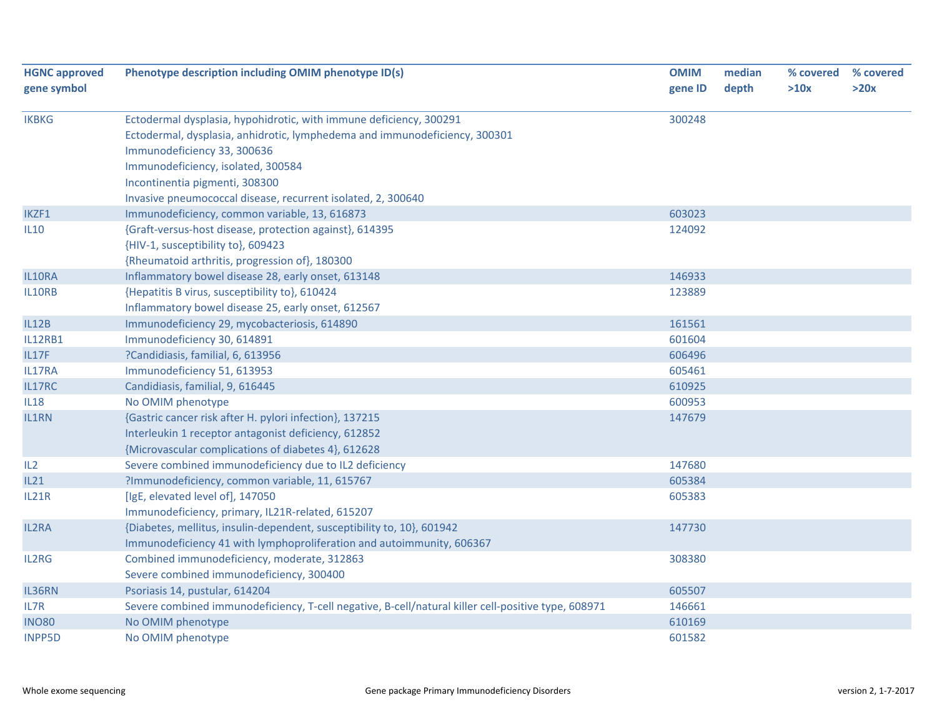| <b>HGNC approved</b><br>gene symbol | Phenotype description including OMIM phenotype ID(s)                                                | <b>OMIM</b><br>gene ID | median<br>depth | % covered<br>>10x | % covered<br>>20x |
|-------------------------------------|-----------------------------------------------------------------------------------------------------|------------------------|-----------------|-------------------|-------------------|
|                                     |                                                                                                     |                        |                 |                   |                   |
| <b>IKBKG</b>                        | Ectodermal dysplasia, hypohidrotic, with immune deficiency, 300291                                  | 300248                 |                 |                   |                   |
|                                     | Ectodermal, dysplasia, anhidrotic, lymphedema and immunodeficiency, 300301                          |                        |                 |                   |                   |
|                                     | Immunodeficiency 33, 300636                                                                         |                        |                 |                   |                   |
|                                     | Immunodeficiency, isolated, 300584                                                                  |                        |                 |                   |                   |
|                                     | Incontinentia pigmenti, 308300                                                                      |                        |                 |                   |                   |
|                                     | Invasive pneumococcal disease, recurrent isolated, 2, 300640                                        |                        |                 |                   |                   |
| IKZF1                               | Immunodeficiency, common variable, 13, 616873                                                       | 603023                 |                 |                   |                   |
| <b>IL10</b>                         | {Graft-versus-host disease, protection against}, 614395                                             | 124092                 |                 |                   |                   |
|                                     | {HIV-1, susceptibility to}, 609423                                                                  |                        |                 |                   |                   |
|                                     | {Rheumatoid arthritis, progression of}, 180300                                                      |                        |                 |                   |                   |
| IL10RA                              | Inflammatory bowel disease 28, early onset, 613148                                                  | 146933                 |                 |                   |                   |
| IL10RB                              | {Hepatitis B virus, susceptibility to}, 610424                                                      | 123889                 |                 |                   |                   |
|                                     | Inflammatory bowel disease 25, early onset, 612567                                                  |                        |                 |                   |                   |
| <b>IL12B</b>                        | Immunodeficiency 29, mycobacteriosis, 614890                                                        | 161561                 |                 |                   |                   |
| <b>IL12RB1</b>                      | Immunodeficiency 30, 614891                                                                         | 601604                 |                 |                   |                   |
| IL17F                               | ?Candidiasis, familial, 6, 613956                                                                   | 606496                 |                 |                   |                   |
| IL17RA                              | Immunodeficiency 51, 613953                                                                         | 605461                 |                 |                   |                   |
| IL17RC                              | Candidiasis, familial, 9, 616445                                                                    | 610925                 |                 |                   |                   |
| <b>IL18</b>                         | No OMIM phenotype                                                                                   | 600953                 |                 |                   |                   |
| <b>IL1RN</b>                        | {Gastric cancer risk after H. pylori infection}, 137215                                             | 147679                 |                 |                   |                   |
|                                     | Interleukin 1 receptor antagonist deficiency, 612852                                                |                        |                 |                   |                   |
|                                     | {Microvascular complications of diabetes 4}, 612628                                                 |                        |                 |                   |                   |
| IL2                                 | Severe combined immunodeficiency due to IL2 deficiency                                              | 147680                 |                 |                   |                   |
| IL21                                | ?Immunodeficiency, common variable, 11, 615767                                                      | 605384                 |                 |                   |                   |
| IL21R                               | [IgE, elevated level of], 147050                                                                    | 605383                 |                 |                   |                   |
|                                     | Immunodeficiency, primary, IL21R-related, 615207                                                    |                        |                 |                   |                   |
| <b>IL2RA</b>                        | {Diabetes, mellitus, insulin-dependent, susceptibility to, 10}, 601942                              | 147730                 |                 |                   |                   |
|                                     | Immunodeficiency 41 with lymphoproliferation and autoimmunity, 606367                               |                        |                 |                   |                   |
| <b>IL2RG</b>                        | Combined immunodeficiency, moderate, 312863                                                         | 308380                 |                 |                   |                   |
|                                     | Severe combined immunodeficiency, 300400                                                            |                        |                 |                   |                   |
| IL36RN                              | Psoriasis 14, pustular, 614204                                                                      | 605507                 |                 |                   |                   |
| IL7R                                | Severe combined immunodeficiency, T-cell negative, B-cell/natural killer cell-positive type, 608971 | 146661                 |                 |                   |                   |
| <b>INO80</b>                        | No OMIM phenotype                                                                                   | 610169                 |                 |                   |                   |
| <b>INPP5D</b>                       | No OMIM phenotype                                                                                   | 601582                 |                 |                   |                   |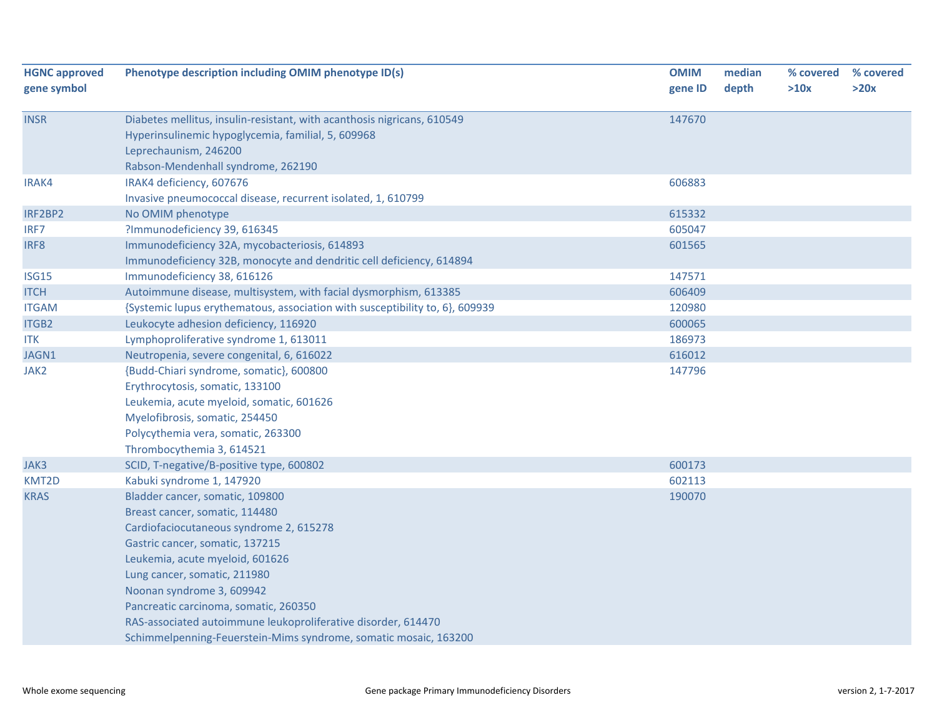| <b>HGNC approved</b> | Phenotype description including OMIM phenotype ID(s)                         | <b>OMIM</b> | median | % covered | % covered |
|----------------------|------------------------------------------------------------------------------|-------------|--------|-----------|-----------|
| gene symbol          |                                                                              | gene ID     | depth  | >10x      | >20x      |
| <b>INSR</b>          | Diabetes mellitus, insulin-resistant, with acanthosis nigricans, 610549      | 147670      |        |           |           |
|                      | Hyperinsulinemic hypoglycemia, familial, 5, 609968                           |             |        |           |           |
|                      | Leprechaunism, 246200                                                        |             |        |           |           |
|                      | Rabson-Mendenhall syndrome, 262190                                           |             |        |           |           |
| IRAK4                | IRAK4 deficiency, 607676                                                     | 606883      |        |           |           |
|                      | Invasive pneumococcal disease, recurrent isolated, 1, 610799                 |             |        |           |           |
| IRF2BP2              | No OMIM phenotype                                                            | 615332      |        |           |           |
| IRF7                 | ?Immunodeficiency 39, 616345                                                 | 605047      |        |           |           |
| IRF8                 | Immunodeficiency 32A, mycobacteriosis, 614893                                | 601565      |        |           |           |
|                      | Immunodeficiency 32B, monocyte and dendritic cell deficiency, 614894         |             |        |           |           |
| <b>ISG15</b>         | Immunodeficiency 38, 616126                                                  | 147571      |        |           |           |
| <b>ITCH</b>          | Autoimmune disease, multisystem, with facial dysmorphism, 613385             | 606409      |        |           |           |
| <b>ITGAM</b>         | {Systemic lupus erythematous, association with susceptibility to, 6}, 609939 | 120980      |        |           |           |
| ITGB2                | Leukocyte adhesion deficiency, 116920                                        | 600065      |        |           |           |
| <b>ITK</b>           | Lymphoproliferative syndrome 1, 613011                                       | 186973      |        |           |           |
| JAGN1                | Neutropenia, severe congenital, 6, 616022                                    | 616012      |        |           |           |
| JAK2                 | {Budd-Chiari syndrome, somatic}, 600800                                      | 147796      |        |           |           |
|                      | Erythrocytosis, somatic, 133100                                              |             |        |           |           |
|                      | Leukemia, acute myeloid, somatic, 601626                                     |             |        |           |           |
|                      | Myelofibrosis, somatic, 254450                                               |             |        |           |           |
|                      | Polycythemia vera, somatic, 263300                                           |             |        |           |           |
|                      | Thrombocythemia 3, 614521                                                    |             |        |           |           |
| JAK3                 | SCID, T-negative/B-positive type, 600802                                     | 600173      |        |           |           |
| KMT2D                | Kabuki syndrome 1, 147920                                                    | 602113      |        |           |           |
| <b>KRAS</b>          | Bladder cancer, somatic, 109800                                              | 190070      |        |           |           |
|                      | Breast cancer, somatic, 114480                                               |             |        |           |           |
|                      | Cardiofaciocutaneous syndrome 2, 615278                                      |             |        |           |           |
|                      | Gastric cancer, somatic, 137215                                              |             |        |           |           |
|                      | Leukemia, acute myeloid, 601626                                              |             |        |           |           |
|                      | Lung cancer, somatic, 211980                                                 |             |        |           |           |
|                      | Noonan syndrome 3, 609942                                                    |             |        |           |           |
|                      | Pancreatic carcinoma, somatic, 260350                                        |             |        |           |           |
|                      | RAS-associated autoimmune leukoproliferative disorder, 614470                |             |        |           |           |
|                      | Schimmelpenning-Feuerstein-Mims syndrome, somatic mosaic, 163200             |             |        |           |           |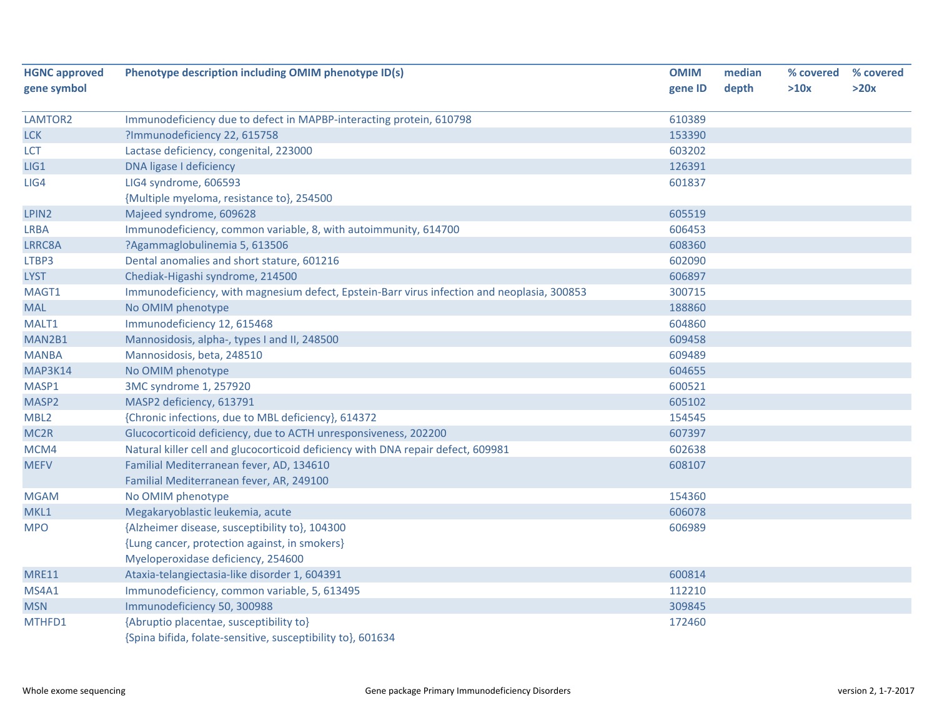| <b>HGNC approved</b> | Phenotype description including OMIM phenotype ID(s)                                        | <b>OMIM</b> | median | % covered | % covered |
|----------------------|---------------------------------------------------------------------------------------------|-------------|--------|-----------|-----------|
| gene symbol          |                                                                                             | gene ID     | depth  | >10x      | >20x      |
| LAMTOR2              | Immunodeficiency due to defect in MAPBP-interacting protein, 610798                         | 610389      |        |           |           |
| <b>LCK</b>           | ?Immunodeficiency 22, 615758                                                                | 153390      |        |           |           |
| <b>LCT</b>           | Lactase deficiency, congenital, 223000                                                      | 603202      |        |           |           |
| LIG1                 | DNA ligase I deficiency                                                                     | 126391      |        |           |           |
| LIG4                 | LIG4 syndrome, 606593                                                                       | 601837      |        |           |           |
|                      | {Multiple myeloma, resistance to}, 254500                                                   |             |        |           |           |
| LPIN <sub>2</sub>    | Majeed syndrome, 609628                                                                     | 605519      |        |           |           |
| <b>LRBA</b>          | Immunodeficiency, common variable, 8, with autoimmunity, 614700                             | 606453      |        |           |           |
| LRRC8A               | ?Agammaglobulinemia 5, 613506                                                               | 608360      |        |           |           |
| LTBP3                | Dental anomalies and short stature, 601216                                                  | 602090      |        |           |           |
| <b>LYST</b>          | Chediak-Higashi syndrome, 214500                                                            | 606897      |        |           |           |
| MAGT1                | Immunodeficiency, with magnesium defect, Epstein-Barr virus infection and neoplasia, 300853 | 300715      |        |           |           |
| <b>MAL</b>           | No OMIM phenotype                                                                           | 188860      |        |           |           |
| MALT1                | Immunodeficiency 12, 615468                                                                 | 604860      |        |           |           |
| MAN2B1               | Mannosidosis, alpha-, types I and II, 248500                                                | 609458      |        |           |           |
| <b>MANBA</b>         | Mannosidosis, beta, 248510                                                                  | 609489      |        |           |           |
| MAP3K14              | No OMIM phenotype                                                                           | 604655      |        |           |           |
| MASP1                | 3MC syndrome 1, 257920                                                                      | 600521      |        |           |           |
| MASP <sub>2</sub>    | MASP2 deficiency, 613791                                                                    | 605102      |        |           |           |
| MBL <sub>2</sub>     | {Chronic infections, due to MBL deficiency}, 614372                                         | 154545      |        |           |           |
| MC <sub>2R</sub>     | Glucocorticoid deficiency, due to ACTH unresponsiveness, 202200                             | 607397      |        |           |           |
| MCM4                 | Natural killer cell and glucocorticoid deficiency with DNA repair defect, 609981            | 602638      |        |           |           |
| <b>MEFV</b>          | Familial Mediterranean fever, AD, 134610                                                    | 608107      |        |           |           |
|                      | Familial Mediterranean fever, AR, 249100                                                    |             |        |           |           |
| <b>MGAM</b>          | No OMIM phenotype                                                                           | 154360      |        |           |           |
| MKL1                 | Megakaryoblastic leukemia, acute                                                            | 606078      |        |           |           |
| <b>MPO</b>           | {Alzheimer disease, susceptibility to}, 104300                                              | 606989      |        |           |           |
|                      | {Lung cancer, protection against, in smokers}                                               |             |        |           |           |
|                      | Myeloperoxidase deficiency, 254600                                                          |             |        |           |           |
| <b>MRE11</b>         | Ataxia-telangiectasia-like disorder 1, 604391                                               | 600814      |        |           |           |
| MS4A1                | Immunodeficiency, common variable, 5, 613495                                                | 112210      |        |           |           |
| <b>MSN</b>           | Immunodeficiency 50, 300988                                                                 | 309845      |        |           |           |
| MTHFD1               | {Abruptio placentae, susceptibility to}                                                     | 172460      |        |           |           |
|                      | {Spina bifida, folate-sensitive, susceptibility to}, 601634                                 |             |        |           |           |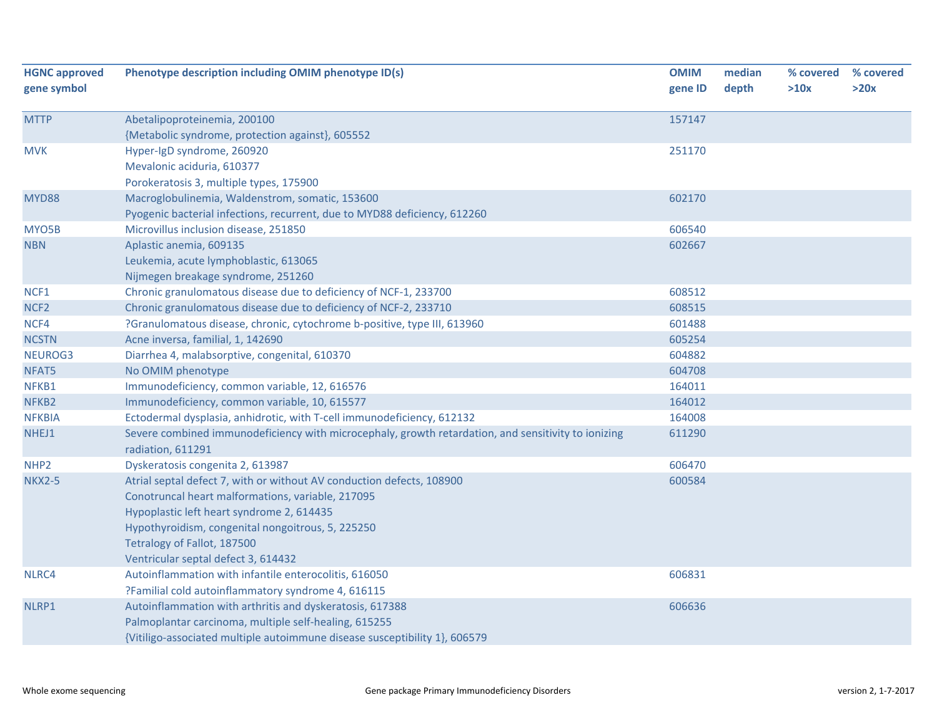| <b>HGNC approved</b><br>gene symbol | Phenotype description including OMIM phenotype ID(s)                                                                                                                                                                                                                                               | <b>OMIM</b><br>gene ID | median<br>depth | % covered<br>>10x | % covered<br>>20x |
|-------------------------------------|----------------------------------------------------------------------------------------------------------------------------------------------------------------------------------------------------------------------------------------------------------------------------------------------------|------------------------|-----------------|-------------------|-------------------|
| <b>MTTP</b>                         | Abetalipoproteinemia, 200100                                                                                                                                                                                                                                                                       | 157147                 |                 |                   |                   |
|                                     | {Metabolic syndrome, protection against}, 605552                                                                                                                                                                                                                                                   |                        |                 |                   |                   |
| <b>MVK</b>                          | Hyper-IgD syndrome, 260920                                                                                                                                                                                                                                                                         | 251170                 |                 |                   |                   |
|                                     | Mevalonic aciduria, 610377                                                                                                                                                                                                                                                                         |                        |                 |                   |                   |
|                                     | Porokeratosis 3, multiple types, 175900                                                                                                                                                                                                                                                            |                        |                 |                   |                   |
| MYD88                               | Macroglobulinemia, Waldenstrom, somatic, 153600                                                                                                                                                                                                                                                    | 602170                 |                 |                   |                   |
|                                     | Pyogenic bacterial infections, recurrent, due to MYD88 deficiency, 612260                                                                                                                                                                                                                          |                        |                 |                   |                   |
| MYO5B                               | Microvillus inclusion disease, 251850                                                                                                                                                                                                                                                              | 606540                 |                 |                   |                   |
| <b>NBN</b>                          | Aplastic anemia, 609135                                                                                                                                                                                                                                                                            | 602667                 |                 |                   |                   |
|                                     | Leukemia, acute lymphoblastic, 613065                                                                                                                                                                                                                                                              |                        |                 |                   |                   |
|                                     | Nijmegen breakage syndrome, 251260                                                                                                                                                                                                                                                                 |                        |                 |                   |                   |
| NCF1                                | Chronic granulomatous disease due to deficiency of NCF-1, 233700                                                                                                                                                                                                                                   | 608512                 |                 |                   |                   |
| NCF <sub>2</sub>                    | Chronic granulomatous disease due to deficiency of NCF-2, 233710                                                                                                                                                                                                                                   | 608515                 |                 |                   |                   |
| NCF4                                | ?Granulomatous disease, chronic, cytochrome b-positive, type III, 613960                                                                                                                                                                                                                           | 601488                 |                 |                   |                   |
| <b>NCSTN</b>                        | Acne inversa, familial, 1, 142690                                                                                                                                                                                                                                                                  | 605254                 |                 |                   |                   |
| NEUROG3                             | Diarrhea 4, malabsorptive, congenital, 610370                                                                                                                                                                                                                                                      | 604882                 |                 |                   |                   |
| NFAT5                               | No OMIM phenotype                                                                                                                                                                                                                                                                                  | 604708                 |                 |                   |                   |
| NFKB1                               | Immunodeficiency, common variable, 12, 616576                                                                                                                                                                                                                                                      | 164011                 |                 |                   |                   |
| NFKB2                               | Immunodeficiency, common variable, 10, 615577                                                                                                                                                                                                                                                      | 164012                 |                 |                   |                   |
| <b>NFKBIA</b>                       | Ectodermal dysplasia, anhidrotic, with T-cell immunodeficiency, 612132                                                                                                                                                                                                                             | 164008                 |                 |                   |                   |
| NHEJ1                               | Severe combined immunodeficiency with microcephaly, growth retardation, and sensitivity to ionizing<br>radiation, 611291                                                                                                                                                                           | 611290                 |                 |                   |                   |
| NHP <sub>2</sub>                    | Dyskeratosis congenita 2, 613987                                                                                                                                                                                                                                                                   | 606470                 |                 |                   |                   |
| <b>NKX2-5</b>                       | Atrial septal defect 7, with or without AV conduction defects, 108900<br>Conotruncal heart malformations, variable, 217095<br>Hypoplastic left heart syndrome 2, 614435<br>Hypothyroidism, congenital nongoitrous, 5, 225250<br>Tetralogy of Fallot, 187500<br>Ventricular septal defect 3, 614432 | 600584                 |                 |                   |                   |
| NLRC4                               | Autoinflammation with infantile enterocolitis, 616050                                                                                                                                                                                                                                              | 606831                 |                 |                   |                   |
|                                     | ?Familial cold autoinflammatory syndrome 4, 616115                                                                                                                                                                                                                                                 |                        |                 |                   |                   |
| NLRP1                               | Autoinflammation with arthritis and dyskeratosis, 617388                                                                                                                                                                                                                                           | 606636                 |                 |                   |                   |
|                                     | Palmoplantar carcinoma, multiple self-healing, 615255                                                                                                                                                                                                                                              |                        |                 |                   |                   |
|                                     | {Vitiligo-associated multiple autoimmune disease susceptibility 1}, 606579                                                                                                                                                                                                                         |                        |                 |                   |                   |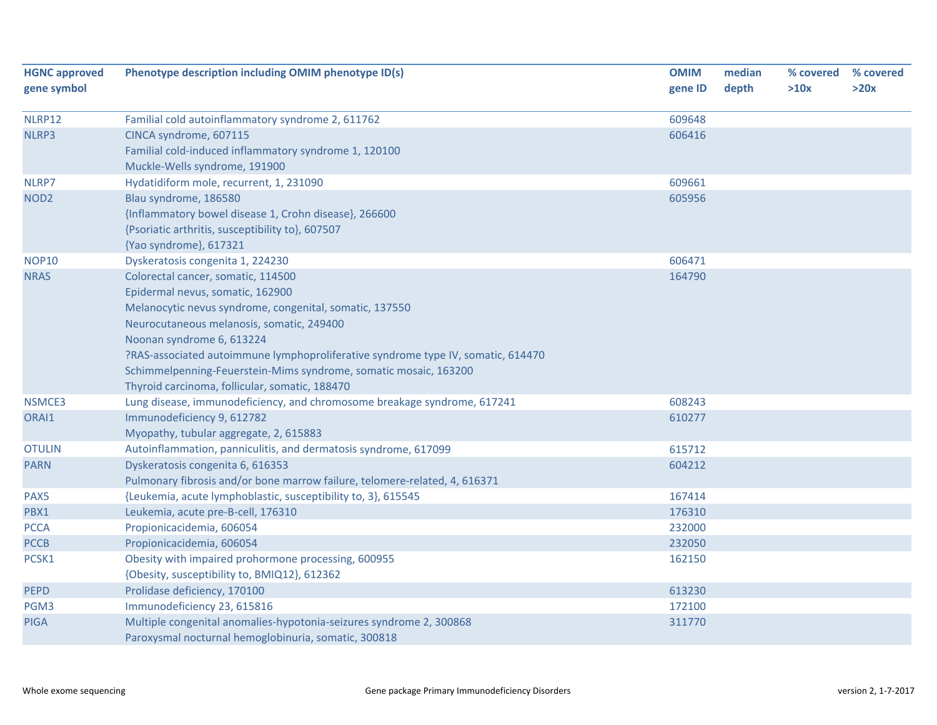| <b>HGNC approved</b> | Phenotype description including OMIM phenotype ID(s)                             | <b>OMIM</b> | median | % covered | % covered |
|----------------------|----------------------------------------------------------------------------------|-------------|--------|-----------|-----------|
| gene symbol          |                                                                                  | gene ID     | depth  | >10x      | >20x      |
|                      |                                                                                  |             |        |           |           |
| NLRP12               | Familial cold autoinflammatory syndrome 2, 611762                                | 609648      |        |           |           |
| NLRP3                | CINCA syndrome, 607115                                                           | 606416      |        |           |           |
|                      | Familial cold-induced inflammatory syndrome 1, 120100                            |             |        |           |           |
|                      | Muckle-Wells syndrome, 191900                                                    |             |        |           |           |
| NLRP7                | Hydatidiform mole, recurrent, 1, 231090                                          | 609661      |        |           |           |
| NOD <sub>2</sub>     | Blau syndrome, 186580                                                            | 605956      |        |           |           |
|                      | {Inflammatory bowel disease 1, Crohn disease}, 266600                            |             |        |           |           |
|                      | {Psoriatic arthritis, susceptibility to}, 607507                                 |             |        |           |           |
|                      | {Yao syndrome}, 617321                                                           |             |        |           |           |
| <b>NOP10</b>         | Dyskeratosis congenita 1, 224230                                                 | 606471      |        |           |           |
| <b>NRAS</b>          | Colorectal cancer, somatic, 114500                                               | 164790      |        |           |           |
|                      | Epidermal nevus, somatic, 162900                                                 |             |        |           |           |
|                      | Melanocytic nevus syndrome, congenital, somatic, 137550                          |             |        |           |           |
|                      | Neurocutaneous melanosis, somatic, 249400                                        |             |        |           |           |
|                      | Noonan syndrome 6, 613224                                                        |             |        |           |           |
|                      | ?RAS-associated autoimmune lymphoproliferative syndrome type IV, somatic, 614470 |             |        |           |           |
|                      | Schimmelpenning-Feuerstein-Mims syndrome, somatic mosaic, 163200                 |             |        |           |           |
|                      | Thyroid carcinoma, follicular, somatic, 188470                                   |             |        |           |           |
| <b>NSMCE3</b>        | Lung disease, immunodeficiency, and chromosome breakage syndrome, 617241         | 608243      |        |           |           |
| ORAI1                | Immunodeficiency 9, 612782                                                       | 610277      |        |           |           |
|                      | Myopathy, tubular aggregate, 2, 615883                                           |             |        |           |           |
| <b>OTULIN</b>        | Autoinflammation, panniculitis, and dermatosis syndrome, 617099                  | 615712      |        |           |           |
| <b>PARN</b>          | Dyskeratosis congenita 6, 616353                                                 | 604212      |        |           |           |
|                      | Pulmonary fibrosis and/or bone marrow failure, telomere-related, 4, 616371       |             |        |           |           |
| PAX5                 | {Leukemia, acute lymphoblastic, susceptibility to, 3}, 615545                    | 167414      |        |           |           |
| PBX1                 | Leukemia, acute pre-B-cell, 176310                                               | 176310      |        |           |           |
| <b>PCCA</b>          | Propionicacidemia, 606054                                                        | 232000      |        |           |           |
| <b>PCCB</b>          | Propionicacidemia, 606054                                                        | 232050      |        |           |           |
| PCSK1                | Obesity with impaired prohormone processing, 600955                              | 162150      |        |           |           |
|                      | {Obesity, susceptibility to, BMIQ12}, 612362                                     |             |        |           |           |
| <b>PEPD</b>          | Prolidase deficiency, 170100                                                     | 613230      |        |           |           |
| PGM3                 | Immunodeficiency 23, 615816                                                      | 172100      |        |           |           |
| <b>PIGA</b>          | Multiple congenital anomalies-hypotonia-seizures syndrome 2, 300868              | 311770      |        |           |           |
|                      | Paroxysmal nocturnal hemoglobinuria, somatic, 300818                             |             |        |           |           |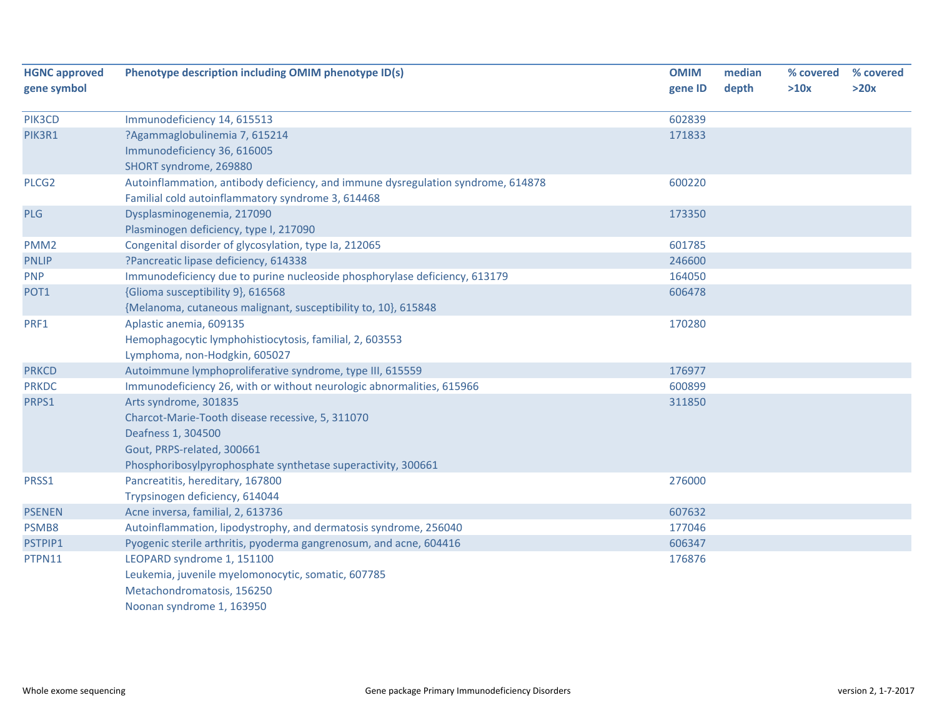| <b>HGNC approved</b><br>gene symbol | Phenotype description including OMIM phenotype ID(s)                             | <b>OMIM</b><br>gene ID | median<br>depth | % covered<br>>10x | % covered<br>>20x |
|-------------------------------------|----------------------------------------------------------------------------------|------------------------|-----------------|-------------------|-------------------|
|                                     |                                                                                  |                        |                 |                   |                   |
| PIK3CD                              | Immunodeficiency 14, 615513                                                      | 602839                 |                 |                   |                   |
| PIK3R1                              | ?Agammaglobulinemia 7, 615214                                                    | 171833                 |                 |                   |                   |
|                                     | Immunodeficiency 36, 616005                                                      |                        |                 |                   |                   |
|                                     | SHORT syndrome, 269880                                                           |                        |                 |                   |                   |
| PLCG <sub>2</sub>                   | Autoinflammation, antibody deficiency, and immune dysregulation syndrome, 614878 | 600220                 |                 |                   |                   |
|                                     | Familial cold autoinflammatory syndrome 3, 614468                                |                        |                 |                   |                   |
| PLG                                 | Dysplasminogenemia, 217090                                                       | 173350                 |                 |                   |                   |
|                                     | Plasminogen deficiency, type I, 217090                                           |                        |                 |                   |                   |
| PMM <sub>2</sub>                    | Congenital disorder of glycosylation, type Ia, 212065                            | 601785                 |                 |                   |                   |
| <b>PNLIP</b>                        | ?Pancreatic lipase deficiency, 614338                                            | 246600                 |                 |                   |                   |
| <b>PNP</b>                          | Immunodeficiency due to purine nucleoside phosphorylase deficiency, 613179       | 164050                 |                 |                   |                   |
| POT <sub>1</sub>                    | {Glioma susceptibility 9}, 616568                                                | 606478                 |                 |                   |                   |
|                                     | {Melanoma, cutaneous malignant, susceptibility to, 10}, 615848                   |                        |                 |                   |                   |
| PRF1                                | Aplastic anemia, 609135                                                          | 170280                 |                 |                   |                   |
|                                     | Hemophagocytic lymphohistiocytosis, familial, 2, 603553                          |                        |                 |                   |                   |
|                                     | Lymphoma, non-Hodgkin, 605027                                                    |                        |                 |                   |                   |
| <b>PRKCD</b>                        | Autoimmune lymphoproliferative syndrome, type III, 615559                        | 176977                 |                 |                   |                   |
| <b>PRKDC</b>                        | Immunodeficiency 26, with or without neurologic abnormalities, 615966            | 600899                 |                 |                   |                   |
| PRPS1                               | Arts syndrome, 301835                                                            | 311850                 |                 |                   |                   |
|                                     | Charcot-Marie-Tooth disease recessive, 5, 311070                                 |                        |                 |                   |                   |
|                                     | Deafness 1, 304500                                                               |                        |                 |                   |                   |
|                                     | Gout, PRPS-related, 300661                                                       |                        |                 |                   |                   |
|                                     | Phosphoribosylpyrophosphate synthetase superactivity, 300661                     |                        |                 |                   |                   |
| PRSS1                               | Pancreatitis, hereditary, 167800                                                 | 276000                 |                 |                   |                   |
|                                     | Trypsinogen deficiency, 614044                                                   |                        |                 |                   |                   |
| <b>PSENEN</b>                       | Acne inversa, familial, 2, 613736                                                | 607632                 |                 |                   |                   |
| PSMB8                               | Autoinflammation, lipodystrophy, and dermatosis syndrome, 256040                 | 177046                 |                 |                   |                   |
| PSTPIP1                             | Pyogenic sterile arthritis, pyoderma gangrenosum, and acne, 604416               | 606347                 |                 |                   |                   |
| PTPN11                              | LEOPARD syndrome 1, 151100                                                       | 176876                 |                 |                   |                   |
|                                     | Leukemia, juvenile myelomonocytic, somatic, 607785                               |                        |                 |                   |                   |
|                                     | Metachondromatosis, 156250                                                       |                        |                 |                   |                   |
|                                     | Noonan syndrome 1, 163950                                                        |                        |                 |                   |                   |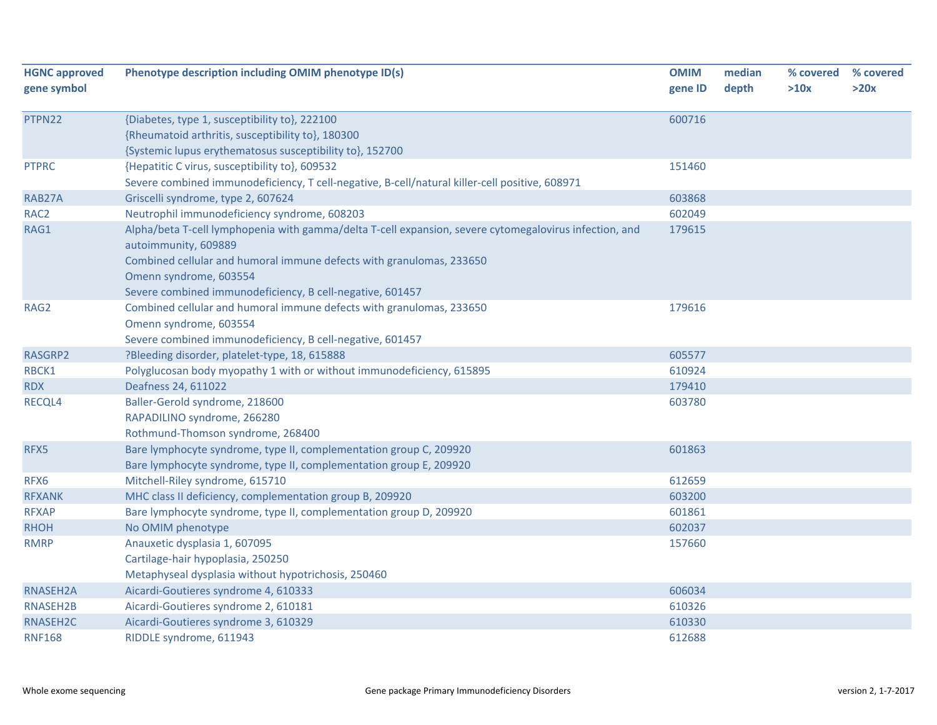| <b>HGNC approved</b> | Phenotype description including OMIM phenotype ID(s)                                                                           | <b>OMIM</b> | median | % covered | % covered |
|----------------------|--------------------------------------------------------------------------------------------------------------------------------|-------------|--------|-----------|-----------|
| gene symbol          |                                                                                                                                | gene ID     | depth  | >10x      | >20x      |
| PTPN22               | {Diabetes, type 1, susceptibility to}, 222100                                                                                  | 600716      |        |           |           |
|                      | {Rheumatoid arthritis, susceptibility to}, 180300                                                                              |             |        |           |           |
|                      | {Systemic lupus erythematosus susceptibility to}, 152700                                                                       |             |        |           |           |
| <b>PTPRC</b>         | {Hepatitic C virus, susceptibility to}, 609532                                                                                 | 151460      |        |           |           |
|                      | Severe combined immunodeficiency, T cell-negative, B-cell/natural killer-cell positive, 608971                                 |             |        |           |           |
| RAB27A               | Griscelli syndrome, type 2, 607624                                                                                             | 603868      |        |           |           |
| RAC <sub>2</sub>     | Neutrophil immunodeficiency syndrome, 608203                                                                                   | 602049      |        |           |           |
| RAG1                 | Alpha/beta T-cell lymphopenia with gamma/delta T-cell expansion, severe cytomegalovirus infection, and<br>autoimmunity, 609889 | 179615      |        |           |           |
|                      | Combined cellular and humoral immune defects with granulomas, 233650<br>Omenn syndrome, 603554                                 |             |        |           |           |
|                      | Severe combined immunodeficiency, B cell-negative, 601457                                                                      |             |        |           |           |
| RAG <sub>2</sub>     | Combined cellular and humoral immune defects with granulomas, 233650<br>Omenn syndrome, 603554                                 | 179616      |        |           |           |
|                      | Severe combined immunodeficiency, B cell-negative, 601457                                                                      |             |        |           |           |
| RASGRP2              | ?Bleeding disorder, platelet-type, 18, 615888                                                                                  | 605577      |        |           |           |
| RBCK1                | Polyglucosan body myopathy 1 with or without immunodeficiency, 615895                                                          | 610924      |        |           |           |
| <b>RDX</b>           | Deafness 24, 611022                                                                                                            | 179410      |        |           |           |
| RECQL4               | Baller-Gerold syndrome, 218600<br>RAPADILINO syndrome, 266280<br>Rothmund-Thomson syndrome, 268400                             | 603780      |        |           |           |
| RFX5                 | Bare lymphocyte syndrome, type II, complementation group C, 209920                                                             | 601863      |        |           |           |
|                      | Bare lymphocyte syndrome, type II, complementation group E, 209920                                                             |             |        |           |           |
| RFX6                 | Mitchell-Riley syndrome, 615710                                                                                                | 612659      |        |           |           |
| <b>RFXANK</b>        | MHC class II deficiency, complementation group B, 209920                                                                       | 603200      |        |           |           |
| <b>RFXAP</b>         | Bare lymphocyte syndrome, type II, complementation group D, 209920                                                             | 601861      |        |           |           |
| <b>RHOH</b>          | No OMIM phenotype                                                                                                              | 602037      |        |           |           |
| <b>RMRP</b>          | Anauxetic dysplasia 1, 607095                                                                                                  | 157660      |        |           |           |
|                      | Cartilage-hair hypoplasia, 250250                                                                                              |             |        |           |           |
|                      | Metaphyseal dysplasia without hypotrichosis, 250460                                                                            |             |        |           |           |
| RNASEH2A             | Aicardi-Goutieres syndrome 4, 610333                                                                                           | 606034      |        |           |           |
| RNASEH2B             | Aicardi-Goutieres syndrome 2, 610181                                                                                           | 610326      |        |           |           |
| RNASEH2C             | Aicardi-Goutieres syndrome 3, 610329                                                                                           | 610330      |        |           |           |
| <b>RNF168</b>        | RIDDLE syndrome, 611943                                                                                                        | 612688      |        |           |           |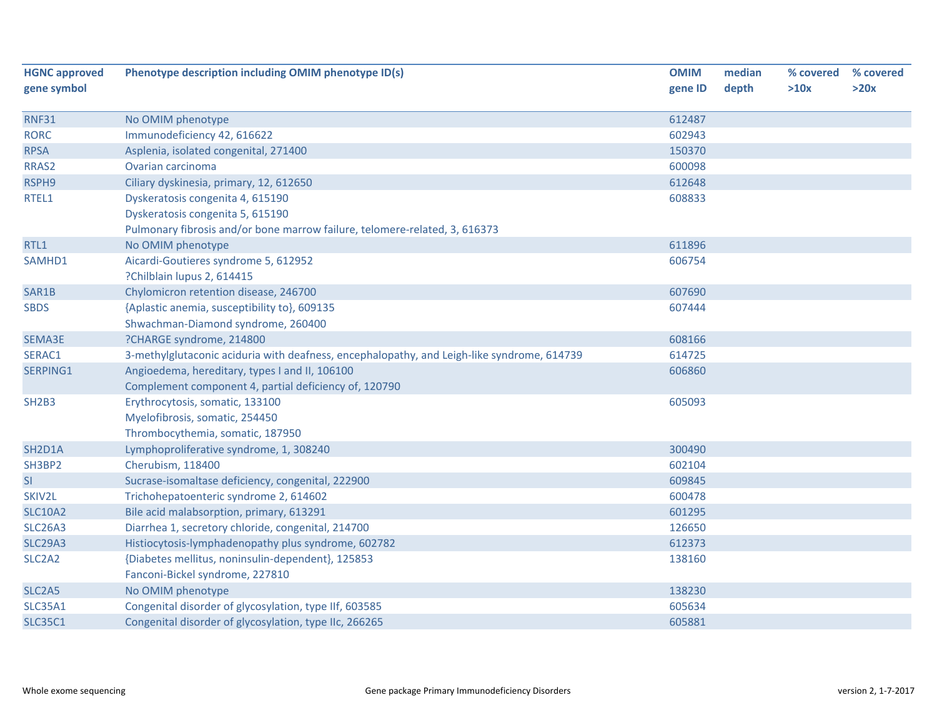| <b>HGNC approved</b>             | Phenotype description including OMIM phenotype ID(s)                                       | <b>OMIM</b> | median | % covered | % covered |
|----------------------------------|--------------------------------------------------------------------------------------------|-------------|--------|-----------|-----------|
| gene symbol                      |                                                                                            | gene ID     | depth  | >10x      | >20x      |
| <b>RNF31</b>                     | No OMIM phenotype                                                                          | 612487      |        |           |           |
| <b>RORC</b>                      | Immunodeficiency 42, 616622                                                                | 602943      |        |           |           |
| <b>RPSA</b>                      | Asplenia, isolated congenital, 271400                                                      | 150370      |        |           |           |
| RRAS2                            | Ovarian carcinoma                                                                          | 600098      |        |           |           |
|                                  |                                                                                            | 612648      |        |           |           |
| RSPH9                            | Ciliary dyskinesia, primary, 12, 612650                                                    |             |        |           |           |
| RTEL1                            | Dyskeratosis congenita 4, 615190                                                           | 608833      |        |           |           |
|                                  | Dyskeratosis congenita 5, 615190                                                           |             |        |           |           |
|                                  | Pulmonary fibrosis and/or bone marrow failure, telomere-related, 3, 616373                 |             |        |           |           |
| RTL1                             | No OMIM phenotype                                                                          | 611896      |        |           |           |
| SAMHD1                           | Aicardi-Goutieres syndrome 5, 612952                                                       | 606754      |        |           |           |
|                                  | ?Chilblain lupus 2, 614415                                                                 |             |        |           |           |
| SAR1B                            | Chylomicron retention disease, 246700                                                      | 607690      |        |           |           |
| <b>SBDS</b>                      | {Aplastic anemia, susceptibility to}, 609135                                               | 607444      |        |           |           |
|                                  | Shwachman-Diamond syndrome, 260400                                                         |             |        |           |           |
| SEMA3E                           | ?CHARGE syndrome, 214800                                                                   | 608166      |        |           |           |
| SERAC1                           | 3-methylglutaconic aciduria with deafness, encephalopathy, and Leigh-like syndrome, 614739 | 614725      |        |           |           |
| SERPING1                         | Angioedema, hereditary, types I and II, 106100                                             | 606860      |        |           |           |
|                                  | Complement component 4, partial deficiency of, 120790                                      |             |        |           |           |
| SH <sub>2</sub> B <sub>3</sub>   | Erythrocytosis, somatic, 133100                                                            | 605093      |        |           |           |
|                                  | Myelofibrosis, somatic, 254450                                                             |             |        |           |           |
|                                  | Thrombocythemia, somatic, 187950                                                           |             |        |           |           |
| SH <sub>2</sub> D <sub>1</sub> A | Lymphoproliferative syndrome, 1, 308240                                                    | 300490      |        |           |           |
| SH3BP2                           | Cherubism, 118400                                                                          | 602104      |        |           |           |
| SI                               | Sucrase-isomaltase deficiency, congenital, 222900                                          | 609845      |        |           |           |
| SKIV2L                           | Trichohepatoenteric syndrome 2, 614602                                                     | 600478      |        |           |           |
| <b>SLC10A2</b>                   | Bile acid malabsorption, primary, 613291                                                   | 601295      |        |           |           |
| <b>SLC26A3</b>                   | Diarrhea 1, secretory chloride, congenital, 214700                                         | 126650      |        |           |           |
| <b>SLC29A3</b>                   | Histiocytosis-lymphadenopathy plus syndrome, 602782                                        | 612373      |        |           |           |
| SLC <sub>2</sub> A <sub>2</sub>  | {Diabetes mellitus, noninsulin-dependent}, 125853                                          | 138160      |        |           |           |
|                                  | Fanconi-Bickel syndrome, 227810                                                            |             |        |           |           |
| SLC <sub>2</sub> A <sub>5</sub>  | No OMIM phenotype                                                                          | 138230      |        |           |           |
| <b>SLC35A1</b>                   | Congenital disorder of glycosylation, type IIf, 603585                                     | 605634      |        |           |           |
| <b>SLC35C1</b>                   | Congenital disorder of glycosylation, type IIc, 266265                                     | 605881      |        |           |           |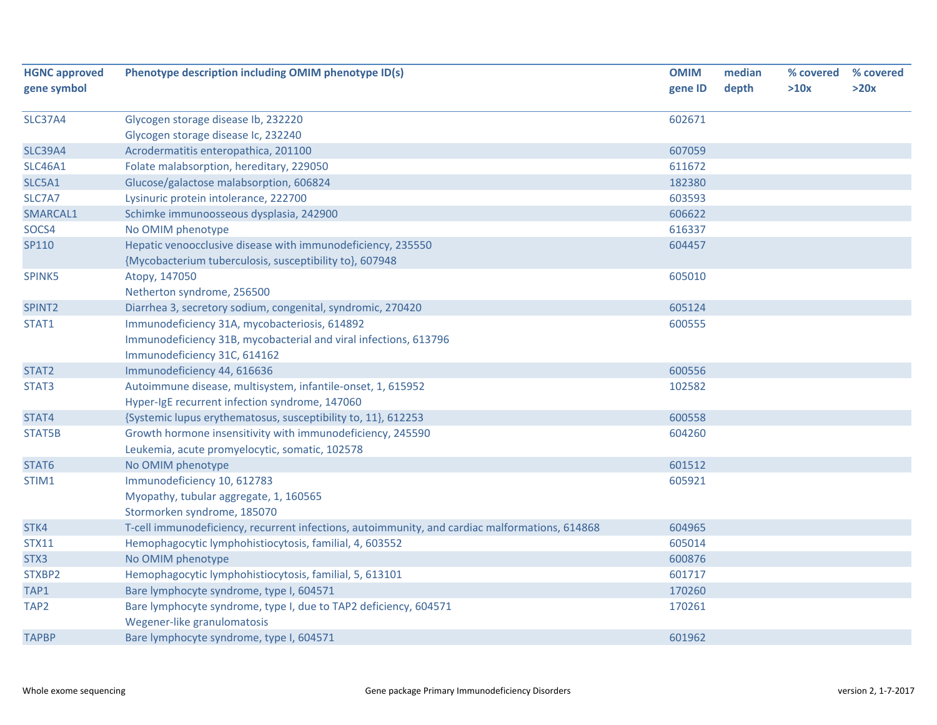| <b>HGNC approved</b> | Phenotype description including OMIM phenotype ID(s)                                                                   | <b>OMIM</b> | median | % covered | % covered |
|----------------------|------------------------------------------------------------------------------------------------------------------------|-------------|--------|-----------|-----------|
| gene symbol          |                                                                                                                        | gene ID     | depth  | >10x      | >20x      |
|                      |                                                                                                                        |             |        |           |           |
| <b>SLC37A4</b>       | Glycogen storage disease lb, 232220                                                                                    | 602671      |        |           |           |
| <b>SLC39A4</b>       | Glycogen storage disease Ic, 232240                                                                                    | 607059      |        |           |           |
| <b>SLC46A1</b>       | Acrodermatitis enteropathica, 201100                                                                                   | 611672      |        |           |           |
|                      | Folate malabsorption, hereditary, 229050                                                                               | 182380      |        |           |           |
| SLC5A1               | Glucose/galactose malabsorption, 606824                                                                                |             |        |           |           |
| SLC7A7               | Lysinuric protein intolerance, 222700                                                                                  | 603593      |        |           |           |
| SMARCAL1             | Schimke immunoosseous dysplasia, 242900                                                                                | 606622      |        |           |           |
| SOCS4                | No OMIM phenotype                                                                                                      | 616337      |        |           |           |
| SP110                | Hepatic venoocclusive disease with immunodeficiency, 235550<br>{Mycobacterium tuberculosis, susceptibility to}, 607948 | 604457      |        |           |           |
| SPINK5               | Atopy, 147050                                                                                                          | 605010      |        |           |           |
|                      | Netherton syndrome, 256500                                                                                             |             |        |           |           |
| SPINT <sub>2</sub>   | Diarrhea 3, secretory sodium, congenital, syndromic, 270420                                                            | 605124      |        |           |           |
| STAT1                | Immunodeficiency 31A, mycobacteriosis, 614892                                                                          | 600555      |        |           |           |
|                      | Immunodeficiency 31B, mycobacterial and viral infections, 613796                                                       |             |        |           |           |
|                      | Immunodeficiency 31C, 614162                                                                                           |             |        |           |           |
| STAT2                | Immunodeficiency 44, 616636                                                                                            | 600556      |        |           |           |
| STAT3                | Autoimmune disease, multisystem, infantile-onset, 1, 615952                                                            | 102582      |        |           |           |
|                      | Hyper-IgE recurrent infection syndrome, 147060                                                                         |             |        |           |           |
| STAT4                | {Systemic lupus erythematosus, susceptibility to, 11}, 612253                                                          | 600558      |        |           |           |
| STAT5B               | Growth hormone insensitivity with immunodeficiency, 245590                                                             | 604260      |        |           |           |
|                      | Leukemia, acute promyelocytic, somatic, 102578                                                                         |             |        |           |           |
| STAT6                | No OMIM phenotype                                                                                                      | 601512      |        |           |           |
| STIM1                | Immunodeficiency 10, 612783                                                                                            | 605921      |        |           |           |
|                      | Myopathy, tubular aggregate, 1, 160565                                                                                 |             |        |           |           |
|                      | Stormorken syndrome, 185070                                                                                            |             |        |           |           |
| STK4                 | T-cell immunodeficiency, recurrent infections, autoimmunity, and cardiac malformations, 614868                         | 604965      |        |           |           |
| <b>STX11</b>         | Hemophagocytic lymphohistiocytosis, familial, 4, 603552                                                                | 605014      |        |           |           |
| STX3                 | No OMIM phenotype                                                                                                      | 600876      |        |           |           |
| STXBP2               | Hemophagocytic lymphohistiocytosis, familial, 5, 613101                                                                | 601717      |        |           |           |
| TAP1                 | Bare lymphocyte syndrome, type I, 604571                                                                               | 170260      |        |           |           |
| TAP <sub>2</sub>     | Bare lymphocyte syndrome, type I, due to TAP2 deficiency, 604571                                                       | 170261      |        |           |           |
|                      | Wegener-like granulomatosis                                                                                            |             |        |           |           |
| <b>TAPBP</b>         | Bare lymphocyte syndrome, type I, 604571                                                                               | 601962      |        |           |           |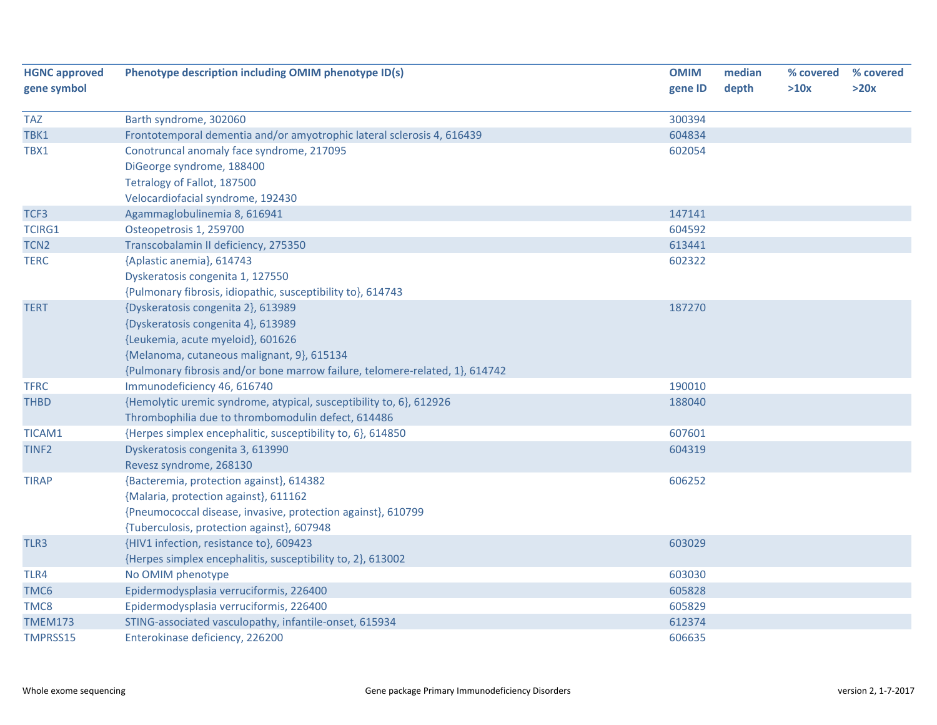| <b>HGNC approved</b> | Phenotype description including OMIM phenotype ID(s)                         | <b>OMIM</b> | median | % covered | % covered |
|----------------------|------------------------------------------------------------------------------|-------------|--------|-----------|-----------|
| gene symbol          |                                                                              | gene ID     | depth  | >10x      | >20x      |
| <b>TAZ</b>           | Barth syndrome, 302060                                                       | 300394      |        |           |           |
| TBK1                 | Frontotemporal dementia and/or amyotrophic lateral sclerosis 4, 616439       | 604834      |        |           |           |
| TBX1                 | Conotruncal anomaly face syndrome, 217095                                    | 602054      |        |           |           |
|                      | DiGeorge syndrome, 188400                                                    |             |        |           |           |
|                      | Tetralogy of Fallot, 187500                                                  |             |        |           |           |
|                      | Velocardiofacial syndrome, 192430                                            |             |        |           |           |
| TCF3                 | Agammaglobulinemia 8, 616941                                                 | 147141      |        |           |           |
| <b>TCIRG1</b>        | Osteopetrosis 1, 259700                                                      | 604592      |        |           |           |
| TCN <sub>2</sub>     | Transcobalamin II deficiency, 275350                                         | 613441      |        |           |           |
| <b>TERC</b>          | {Aplastic anemia}, 614743                                                    | 602322      |        |           |           |
|                      | Dyskeratosis congenita 1, 127550                                             |             |        |           |           |
|                      | {Pulmonary fibrosis, idiopathic, susceptibility to}, 614743                  |             |        |           |           |
| <b>TERT</b>          | {Dyskeratosis congenita 2}, 613989                                           | 187270      |        |           |           |
|                      | {Dyskeratosis congenita 4}, 613989                                           |             |        |           |           |
|                      | {Leukemia, acute myeloid}, 601626                                            |             |        |           |           |
|                      | {Melanoma, cutaneous malignant, 9}, 615134                                   |             |        |           |           |
|                      | {Pulmonary fibrosis and/or bone marrow failure, telomere-related, 1}, 614742 |             |        |           |           |
| <b>TFRC</b>          | Immunodeficiency 46, 616740                                                  | 190010      |        |           |           |
| <b>THBD</b>          | {Hemolytic uremic syndrome, atypical, susceptibility to, 6}, 612926          | 188040      |        |           |           |
|                      | Thrombophilia due to thrombomodulin defect, 614486                           |             |        |           |           |
| TICAM1               | {Herpes simplex encephalitic, susceptibility to, 6}, 614850                  | 607601      |        |           |           |
| TINF <sub>2</sub>    | Dyskeratosis congenita 3, 613990                                             | 604319      |        |           |           |
|                      | Revesz syndrome, 268130                                                      |             |        |           |           |
| <b>TIRAP</b>         | {Bacteremia, protection against}, 614382                                     | 606252      |        |           |           |
|                      | {Malaria, protection against}, 611162                                        |             |        |           |           |
|                      | {Pneumococcal disease, invasive, protection against}, 610799                 |             |        |           |           |
|                      | {Tuberculosis, protection against}, 607948                                   |             |        |           |           |
| TLR3                 | {HIV1 infection, resistance to}, 609423                                      | 603029      |        |           |           |
|                      | {Herpes simplex encephalitis, susceptibility to, 2}, 613002                  |             |        |           |           |
| TLR4                 | No OMIM phenotype                                                            | 603030      |        |           |           |
| TMC6                 | Epidermodysplasia verruciformis, 226400                                      | 605828      |        |           |           |
| TMC8                 | Epidermodysplasia verruciformis, 226400                                      | 605829      |        |           |           |
| TMEM173              | STING-associated vasculopathy, infantile-onset, 615934                       | 612374      |        |           |           |
| TMPRSS15             | Enterokinase deficiency, 226200                                              | 606635      |        |           |           |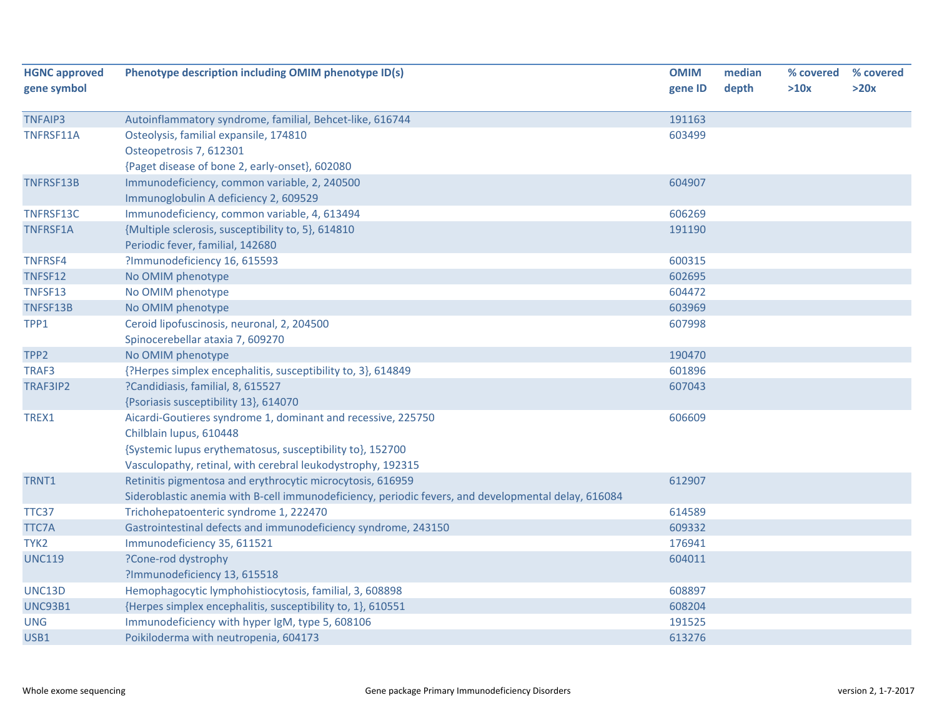| <b>HGNC approved</b><br>gene symbol | Phenotype description including OMIM phenotype ID(s)                                                | <b>OMIM</b><br>gene ID | median<br>depth | % covered<br>>10x | % covered<br>>20x |
|-------------------------------------|-----------------------------------------------------------------------------------------------------|------------------------|-----------------|-------------------|-------------------|
| <b>TNFAIP3</b>                      | Autoinflammatory syndrome, familial, Behcet-like, 616744                                            | 191163                 |                 |                   |                   |
| TNFRSF11A                           | Osteolysis, familial expansile, 174810                                                              | 603499                 |                 |                   |                   |
|                                     | Osteopetrosis 7, 612301                                                                             |                        |                 |                   |                   |
|                                     | {Paget disease of bone 2, early-onset}, 602080                                                      |                        |                 |                   |                   |
| <b>TNFRSF13B</b>                    | Immunodeficiency, common variable, 2, 240500                                                        | 604907                 |                 |                   |                   |
|                                     | Immunoglobulin A deficiency 2, 609529                                                               |                        |                 |                   |                   |
| TNFRSF13C                           | Immunodeficiency, common variable, 4, 613494                                                        | 606269                 |                 |                   |                   |
| <b>TNFRSF1A</b>                     | {Multiple sclerosis, susceptibility to, 5}, 614810                                                  | 191190                 |                 |                   |                   |
|                                     | Periodic fever, familial, 142680                                                                    |                        |                 |                   |                   |
| <b>TNFRSF4</b>                      | ?Immunodeficiency 16, 615593                                                                        | 600315                 |                 |                   |                   |
| TNFSF12                             | No OMIM phenotype                                                                                   | 602695                 |                 |                   |                   |
| TNFSF13                             | No OMIM phenotype                                                                                   | 604472                 |                 |                   |                   |
| TNFSF13B                            | No OMIM phenotype                                                                                   | 603969                 |                 |                   |                   |
| TPP1                                | Ceroid lipofuscinosis, neuronal, 2, 204500                                                          | 607998                 |                 |                   |                   |
|                                     | Spinocerebellar ataxia 7, 609270                                                                    |                        |                 |                   |                   |
| TPP <sub>2</sub>                    | No OMIM phenotype                                                                                   | 190470                 |                 |                   |                   |
| TRAF3                               | {?Herpes simplex encephalitis, susceptibility to, 3}, 614849                                        | 601896                 |                 |                   |                   |
| TRAF3IP2                            | ?Candidiasis, familial, 8, 615527                                                                   | 607043                 |                 |                   |                   |
|                                     | {Psoriasis susceptibility 13}, 614070                                                               |                        |                 |                   |                   |
| TREX1                               | Aicardi-Goutieres syndrome 1, dominant and recessive, 225750                                        | 606609                 |                 |                   |                   |
|                                     | Chilblain lupus, 610448                                                                             |                        |                 |                   |                   |
|                                     | {Systemic lupus erythematosus, susceptibility to}, 152700                                           |                        |                 |                   |                   |
|                                     | Vasculopathy, retinal, with cerebral leukodystrophy, 192315                                         |                        |                 |                   |                   |
| TRNT1                               | Retinitis pigmentosa and erythrocytic microcytosis, 616959                                          | 612907                 |                 |                   |                   |
|                                     | Sideroblastic anemia with B-cell immunodeficiency, periodic fevers, and developmental delay, 616084 |                        |                 |                   |                   |
| TTC37                               | Trichohepatoenteric syndrome 1, 222470                                                              | 614589                 |                 |                   |                   |
| <b>TTC7A</b>                        | Gastrointestinal defects and immunodeficiency syndrome, 243150                                      | 609332                 |                 |                   |                   |
| TYK <sub>2</sub>                    | Immunodeficiency 35, 611521                                                                         | 176941                 |                 |                   |                   |
| <b>UNC119</b>                       | ?Cone-rod dystrophy                                                                                 | 604011                 |                 |                   |                   |
|                                     | ?Immunodeficiency 13, 615518                                                                        |                        |                 |                   |                   |
| <b>UNC13D</b>                       | Hemophagocytic lymphohistiocytosis, familial, 3, 608898                                             | 608897                 |                 |                   |                   |
| <b>UNC93B1</b>                      | {Herpes simplex encephalitis, susceptibility to, 1}, 610551                                         | 608204                 |                 |                   |                   |
| <b>UNG</b>                          | Immunodeficiency with hyper IgM, type 5, 608106                                                     | 191525                 |                 |                   |                   |
| USB1                                | Poikiloderma with neutropenia, 604173                                                               | 613276                 |                 |                   |                   |